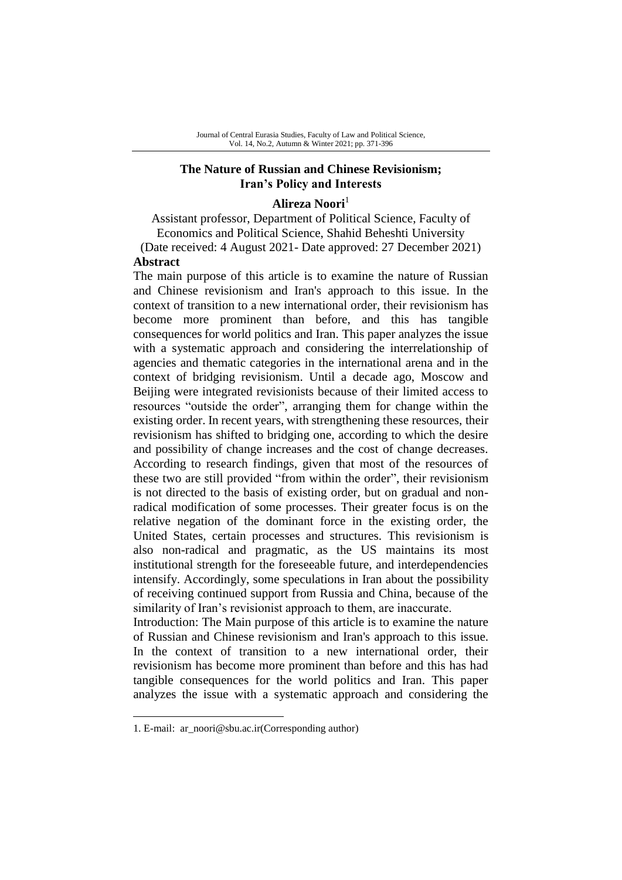### **The Nature of Russian and Chinese Revisionism; Iran's Policy and Interests**

### **Alireza Noori**<sup>1</sup>

Assistant professor, Department of Political Science, Faculty of Economics and Political Science, Shahid Beheshti University (Date received: 4 August 2021- Date approved: 27 December 2021) **Abstract**

The main purpose of this article is to examine the nature of Russian and Chinese revisionism and Iran's approach to this issue. In the context of transition to a new international order, their revisionism has become more prominent than before, and this has tangible consequences for world politics and Iran. This paper analyzes the issue with a systematic approach and considering the interrelationship of agencies and thematic categories in the international arena and in the context of bridging revisionism. Until a decade ago, Moscow and Beijing were integrated revisionists because of their limited access to resources "outside the order", arranging them for change within the existing order. In recent years, with strengthening these resources, their revisionism has shifted to bridging one, according to which the desire and possibility of change increases and the cost of change decreases. According to research findings, given that most of the resources of these two are still provided "from within the order", their revisionism is not directed to the basis of existing order, but on gradual and nonradical modification of some processes. Their greater focus is on the relative negation of the dominant force in the existing order, the United States, certain processes and structures. This revisionism is also non-radical and pragmatic, as the US maintains its most institutional strength for the foreseeable future, and interdependencies intensify. Accordingly, some speculations in Iran about the possibility of receiving continued support from Russia and China, because of the similarity of Iran's revisionist approach to them, are inaccurate.

Introduction: The Main purpose of this article is to examine the nature of Russian and Chinese revisionism and Iran's approach to this issue. In the context of transition to a new international order, their revisionism has become more prominent than before and this has had tangible consequences for the world politics and Iran. This paper analyzes the issue with a systematic approach and considering the

-

<sup>1.</sup> E-mail: ar\_noori@sbu.ac.ir(Corresponding author)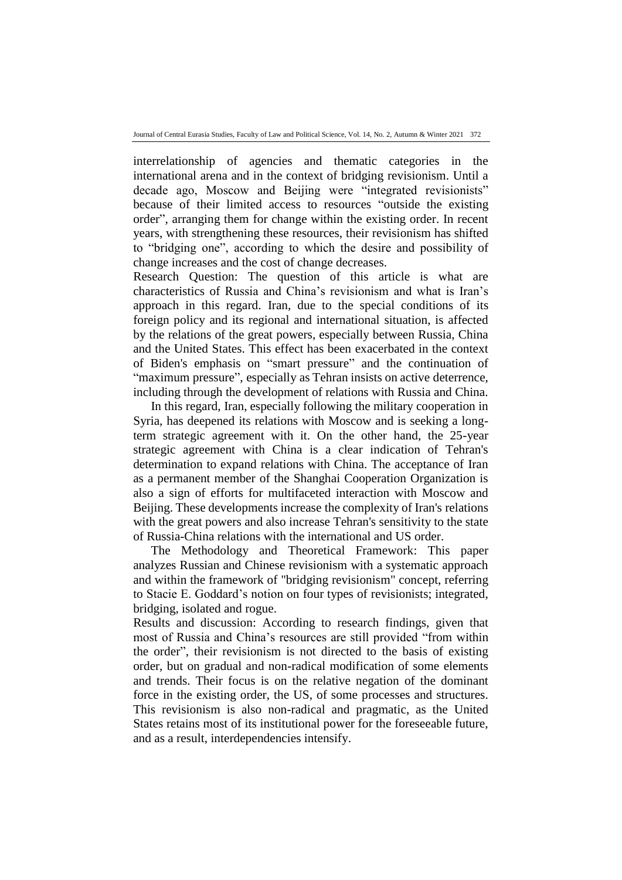interrelationship of agencies and thematic categories in the international arena and in the context of bridging revisionism. Until a decade ago, Moscow and Beijing were "integrated revisionists" because of their limited access to resources "outside the existing order", arranging them for change within the existing order. In recent years, with strengthening these resources, their revisionism has shifted to "bridging one", according to which the desire and possibility of change increases and the cost of change decreases.

Research Question: The question of this article is what are characteristics of Russia and China's revisionism and what is Iran's approach in this regard. Iran, due to the special conditions of its foreign policy and its regional and international situation, is affected by the relations of the great powers, especially between Russia, China and the United States. This effect has been exacerbated in the context of Biden's emphasis on "smart pressure" and the continuation of "maximum pressure", especially as Tehran insists on active deterrence, including through the development of relations with Russia and China.

In this regard, Iran, especially following the military cooperation in Syria, has deepened its relations with Moscow and is seeking a longterm strategic agreement with it. On the other hand, the 25-year strategic agreement with China is a clear indication of Tehran's determination to expand relations with China. The acceptance of Iran as a permanent member of the Shanghai Cooperation Organization is also a sign of efforts for multifaceted interaction with Moscow and Beijing. These developments increase the complexity of Iran's relations with the great powers and also increase Tehran's sensitivity to the state of Russia-China relations with the international and US order.

The Methodology and Theoretical Framework: This paper analyzes Russian and Chinese revisionism with a systematic approach and within the framework of "bridging revisionism" concept, referring to Stacie E. Goddard's notion on four types of revisionists; integrated, bridging, isolated and rogue.

Results and discussion: According to research findings, given that most of Russia and China's resources are still provided "from within the order", their revisionism is not directed to the basis of existing order, but on gradual and non-radical modification of some elements and trends. Their focus is on the relative negation of the dominant force in the existing order, the US, of some processes and structures. This revisionism is also non-radical and pragmatic, as the United States retains most of its institutional power for the foreseeable future, and as a result, interdependencies intensify.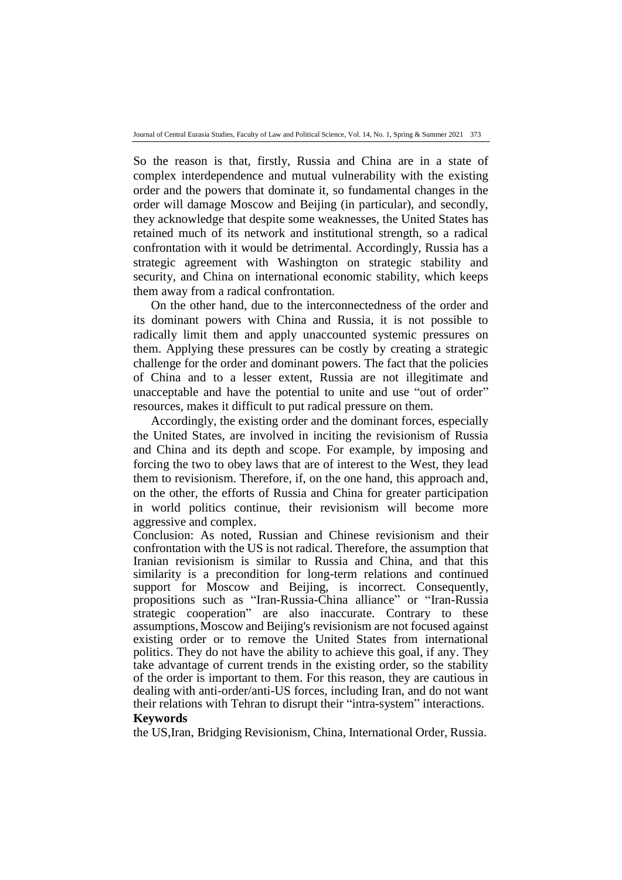So the reason is that, firstly, Russia and China are in a state of complex interdependence and mutual vulnerability with the existing order and the powers that dominate it, so fundamental changes in the order will damage Moscow and Beijing (in particular), and secondly, they acknowledge that despite some weaknesses, the United States has retained much of its network and institutional strength, so a radical confrontation with it would be detrimental. Accordingly, Russia has a strategic agreement with Washington on strategic stability and security, and China on international economic stability, which keeps them away from a radical confrontation.

On the other hand, due to the interconnectedness of the order and its dominant powers with China and Russia, it is not possible to radically limit them and apply unaccounted systemic pressures on them. Applying these pressures can be costly by creating a strategic challenge for the order and dominant powers. The fact that the policies of China and to a lesser extent, Russia are not illegitimate and unacceptable and have the potential to unite and use "out of order" resources, makes it difficult to put radical pressure on them.

Accordingly, the existing order and the dominant forces, especially the United States, are involved in inciting the revisionism of Russia and China and its depth and scope. For example, by imposing and forcing the two to obey laws that are of interest to the West, they lead them to revisionism. Therefore, if, on the one hand, this approach and, on the other, the efforts of Russia and China for greater participation in world politics continue, their revisionism will become more aggressive and complex.

Conclusion: As noted, Russian and Chinese revisionism and their confrontation with the US is not radical. Therefore, the assumption that Iranian revisionism is similar to Russia and China, and that this similarity is a precondition for long-term relations and continued support for Moscow and Beijing, is incorrect. Consequently, propositions such as "Iran-Russia-China alliance" or "Iran-Russia strategic cooperation" are also inaccurate. Contrary to these assumptions, Moscow and Beijing's revisionism are not focused against existing order or to remove the United States from international politics. They do not have the ability to achieve this goal, if any. They take advantage of current trends in the existing order, so the stability of the order is important to them. For this reason, they are cautious in dealing with anti-order/anti-US forces, including Iran, and do not want their relations with Tehran to disrupt their "intra-system" interactions. **Keywords**

the US,Iran, Bridging Revisionism, China, International Order, Russia.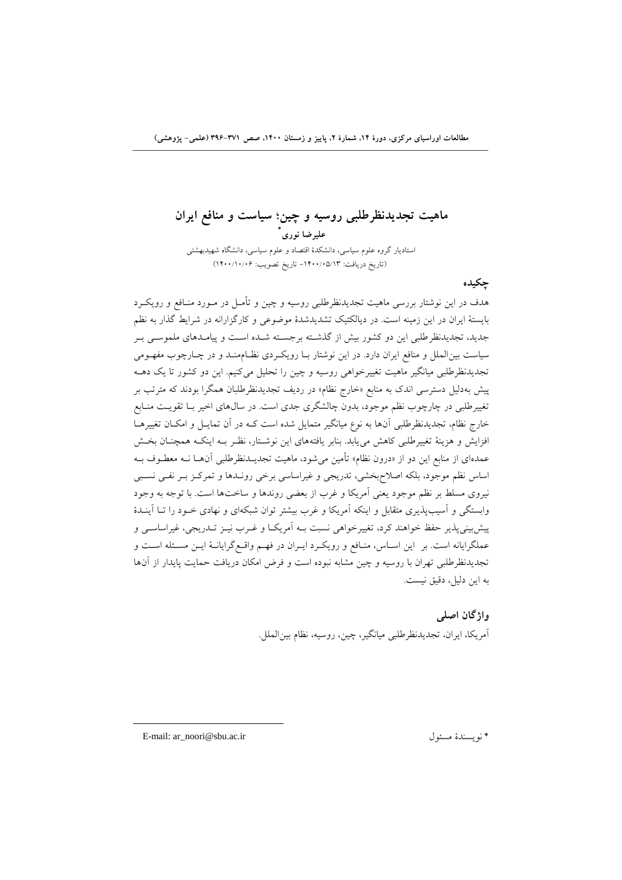## **ماهيت تجدیدنظرطلبی روسيه و چين؛ سياست و منافع ایران \* عليرضا نوري** استاديار گروه علوم سیاسی، دانشكدة اقتصاد و علوم سیاسی، دانشگاه شهیدبهشتی )تاريخ دريافت: -1400/05/13 تاريخ تصويب: 1400/10/06(

### **چکيده**

هدف در اين نوشتار بررسی ماهيت تجديدنظرطلبی روسیه و چین و تأمـل در مــورد منــافع و رويكــرد بايستۀ ايران در اين زمیفه است. در ديالكتیک تشديدشدة موضوعی و کارگزارانه در شرايط گذار به نظم جديد، تجديدنظر طلبي اين دو کشور بيش از گذشـته برجسـته شـده اسـت و پيامـدهاي ملموسـي بـر سیاست بین الملل و منافع ايران دارد. در اين نوشتار بـا رويكـردی نظـام منـد و در چـارچوب مفهــومی تجديدنظرطلبی میانگیر ماهیت تغییرخواهی روسیه و چین را تحلیل میکنیم. این دو کشور تا يک دهــه پیش بهدلیل دسترسی اندک به منابع «خارج نظام» در ردیف تجدیدنظرطلبان همگرا بودند که مترتب بر تغییرطلبی در چارچوب نظم موجود، بدون چالشگری جدی است. در سال۵های اخیر بــا تقویــت منــابع خارج نظام، تجدیدنظرطلبی آنها به نوع میانگیر متمایل شده است کـه در آن تمایـل و امکـان تغییرهـا افزايش و هزينۀ تغييرطلبي كاهش مي يابد. بنابر يافتههاى اين نوشـتار، نظـر بــه اينكــه همچنــان بخــش عمدهای از منابع اين دو از «درون نظام» تأمين میشود، ماهيت تجديــدنظرطلبی آن۱مـا نــه معطــوف بــه اساس نظم موجود، بلكه اصلاح بخشی، تدریجی و غیراساسی برخی رونلدها و تمركـز بـر نفـی نسـبی نیروو مسلط بر نظم موجود يوفی آمريكا و غرم از بوضی روندها و ساختها است. با توجه به وجود وابستگی و آسیب پذیری متقابل و اینكه آمریكا و غرب بیشتر توان شبكهای و نهادی خـود را تــا آینــدهٔ پیشبینی پذیر حفظ خواهند کرد، تغییرخواهی نسبت بـه آمریکـا و غــرب نیــز تــدریجی، غیراساســی و عملگرايانه است. بر اين اسـاس، منـافع و رويكـرد ايـران در فهـم واقـع گرايانــۀ ايــن مسـئله اســت و تجديدنظرطلبی تهران با روسیه و چین مشابه نبوده است و فرض امكان دريافت حبايت دايدار از آنها به این دلیل، دقیق نیست.

> **واژگان اصلی** آمريكا، ايران، تجديدنظرطلبی میانگیر، چین، روسیه، نظام بینالبل .

E-mail: ar\_noori@sbu.ac.ir ول مس نويسفدة\*

1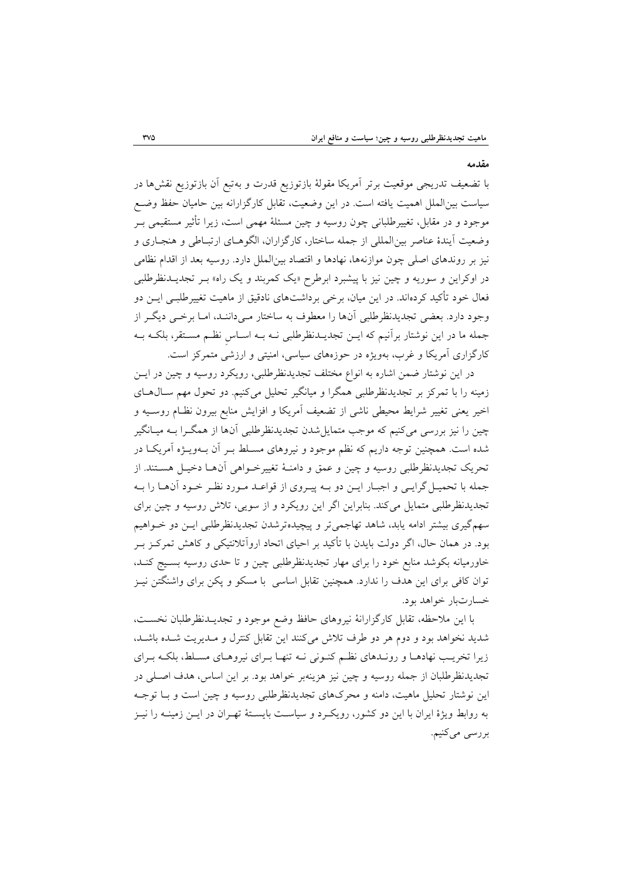**مقدمه** 

با تضعيف تدريجي موقعيت برتر آمريكا مقولۀ بازتوزيع قدرت و بهتبع آن بازتوزيع نقشها در سیاست بین الملل اهمیت یافته است. در این وضعیت، تقابل کارگزارانه بین حامیان حفظ وضـع موجود و در مقابل، تغییرطلبانی چون روسیه و چین مسئلۀ مهمی است، زیرا تأثیر مستقیمی بــر وضعیت آیندهٔ عناصر بین المللی از جمله ساختار، کارگزاران، الگوهـای ارتبـاطی و هنجـاری و نیز بر روندهاو اصلی چون موازنهها، نهادها و اقتصاد بینالبل دارد. روسیه بود از اقدام نظامی در اوکراين و سوريه و چين نيز با پيشبرد ابرطرح «يک کمربند و يک راه» بـر تجديــدنظرطلبي فعال خود تأکید کردهاند. در این میان، برخی برداشتهای نادقیق از ماهیت تغییرطلبــی ایــن دو وجود دارد. بعضی تجديدنظرطلبی آنها را معطوف به ساختار مـیداننـد، امـا برخـی ديگـر از جبله ما در اين نوشتار برآنیم که ايلن تجديلدنظرطلبی نله بله اسلاس نظلم مسلتور، بلكله بله کارگزاری آمريکا و غرب، بهويژه در حوزههای سياسی، امنيتی و ارزشی متمرکز است.

در اين نوشتار ضمن اشاره به انواع مختلف تجديدنظرطلبی، رويكرد روسيه و چين در ايـن زمینه را با تمرکز بر تجدیدنظرطلبی همگرا و میانگیر تحلیل میکنیم. دو تحول مهم سـالهـای اخیر یعنی تغییر شرایط محیطی ناشی از تضعیف آمریکا و افزایش منابع بیرون نظـام روسـیه و چین را نیز بررسی میکنیم که موجب متمایل شدن تجدیدنظرطلبی آنها از همگـرا بـه میــانگیر شده است. هب فین توجه داريم که نظم موجود و نیروهاو مسللط بلر آن بله ويلژه آمريكلا در تحريک تجديدنظرطلبي روسيه و چين و عمق و دامنـۀ تغييرخـواهی آنهـا دخيـل هسـتند. از جمله با تحميـل گرايـي و اجبـار ايـن دو بـه پيـروي از قواعـد مـورد نظـر خـود آنهـا را بـه تجديدنظرطلبی متمايل میکند. بنابراين اگر اين رويکرد و از سويی، تلاش روسيه و چين برای سهمگیری بیشتر ادامه یابد، شاهد تهاجمی تر و پیچیدهترشدن تجدیدنظرطلبی ایـن دو خـواهیم بود. در هبان حال، اگر دولت بايدن با تأکید بر احیاو اتحاد اروآتالنتیكی و کاهش تبرکلز بلر خاورمیانه بكوشد منابع خود را برای مهار تجدیدنظرطلبی چین و تا حدی روسیه بسـیج کنـد، توان كافی برای اين هدف را ندارد. همچنين تقابل اساسی با مسكو و پكن برای واشنگتن نیـز خسارتبار خواهد بود.

با اين ملاحظه، تقابل کارگزارانۀ نيروهای حافظ وضع موجود و تجديــدنظرطلبان نخســت، شديد نخواهد بود و دوم هر دو طرف تلاش میکنند اين تقابل کنترل و مـديريت شـده باشـد، زيرا تخريب نهادهـا و رونـدهاى نظـم کنـونی نـه تنهـا بـراى نیروهـاى مسـلط، بلكـه بـراى تجديدنظرطلبان از جبله روسیه و چین نیز هزيفهبر خواهد بود. بر اين اساس، هدف اصللی در اين نوشتار تحليل ماهيت، دامنه و محرکهای تجديدنظرطلبی روسيه و چين است و بــا توجــه به روابط ويژة ايران با اين دو کشور، رويكلرد و سیاسلت بايسلتۀ تهلران در ايلن زمیفله را نیلز بررسی میکفیم.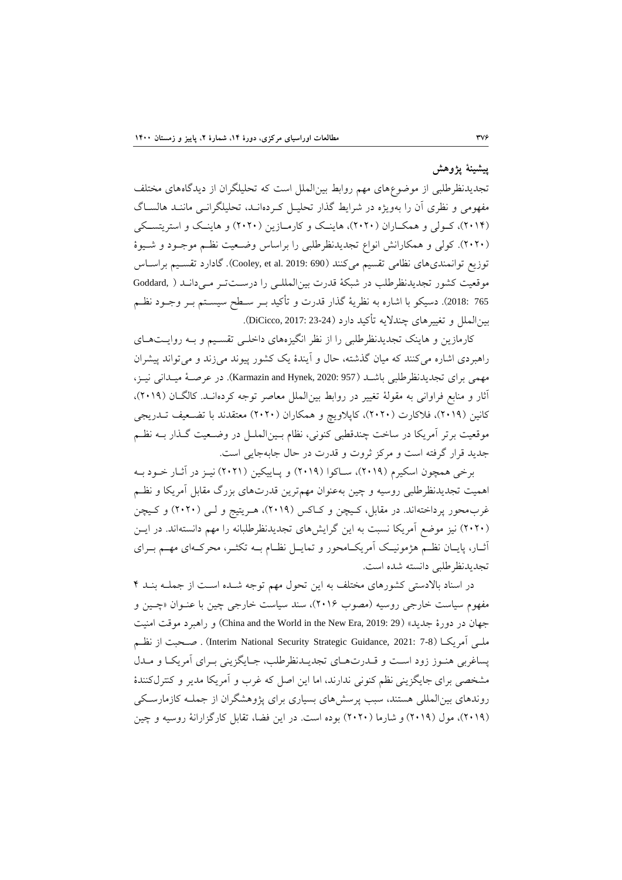### **پيشينۀ پژوهش**

تجديدنظرطلبي از موضوعهای مهم روابط بین|لملل است که تحلیلگران از دیدگاههای مختلف مفهومی و نظری آن را بهویژه در شرایط گذار تحلیـل کـردهانـد، تحلیلگرانـی ماننـد هالسـاگ (٢٠١۴)، کـولی و همکــاران (٢٠٢٠)، هاينــک و کارمــازين (٢٠٢٠) و هاينــک و استريتســکی )2020(. کولی و هبكارانش انواع تجديدنظرطلبی را براساس وضلویت نظلم موجلود و شلیوة توزيع توانمندي هاي نظامي تقسيم ميكنند (Cooley, et al. 2019: 690). گادارد تقسـيم براسـاس موقویت کشور تجديدنظرطلب در شبكۀ قدرت بینالبلللی را درسلت تلر ملی دانلد ) ,Goddard 765 :2018). دسیكو با اشاره به نظریۀ گذار قدرت و تأکید بــر ســطح سیســتم بــر وجــود نظــم بین|لملل و تغییرهای چندلایه تأکید دارد (DiCicco, 2017: 23-24).

کارمازين و هاينک تجديدنظرطلبي را از نظر انگيزههای داخلـي تقسـيم و بـه روايـتهـای راهبردی اشاره می کنند که میان گذشته، حال و آیندهٔ یک کشور پیوند میزند و میتواند پیشران مهبی براو تجديدنظرطلبی باشلد )957 2020: ,Hynek and Karmazin). در عرصلۀ میلدانی نیلز، آثار و منابع فراوانی به مقولۀ تغییر در روابط بین الملل معاصر توجه کردهانـد. کالگـان (۲۰۱۹)، کانين (٢٠١٩)، فلاکارت (٢٠٢٠)، کاپلاويچ و همکاران (٢٠٢٠) معتقدند با تضـعيف تــدريجي موقویت برتر آمريكا در ساخت چفدقفبی کفونی، نظام بلین البلل در وضلویت گلذار بله نظلم جديد قرار گرفته است و مرکز ثروت و قدرت در حال جابهجايی است.

برخی همچون اسكیرم (۲۰۱۹)، ساكوا (۲۰۱۹) و پـاییكین (۲۰۲۱) نیـز در آثـار خـود بـه اهمیت تجدیدنظرطلبی روسیه و چین بهعنوان مهمترین قدرتهای بزرگ مقابل آمریكا و نظـم غرب محور پرداختهاند. در مقابل، کـيچن و کـاکس (٢٠١٩)، هـريتيج و لـي (٢٠٢٠) و کـيچن (۲۰۲۰) نیز موضع آمريكا نسبت به اين گرايشهای تجديدنظرطلبانه را مهم دانستهاند. در ايـن آثــار، پايـــان نظــم هژمونيــک آمريکــامحور و تمايــل نظــام بــه تكثــر، محرکــهای مهــم بــرای تجديدنظرطلبی دانسته شده است.

در اسناد بالادستی کشورهای مختلف به اين تحول مهم توجه شـده اسـت از جملـه بنـد ۴ مفهوم سیاست خارجی روسیه (مصوب ۲۰۱۶)، سند سیاست خارجی چین با عنوان «چلین و جهان در دورهٔ جديد» (China and the World in the New Era, 2019: 29) و راهبرد موقت امنيت ملـي آمريكـا (7-7 2021: Jnterim National Security Strategic Guidance, 2021: صـحبت از نظـم يساغربی هنـوز زود اسـت و قـدرتهـای تجديـدنظرطلب، جـايگزينی بـرای آمريكـا و مـدل مشخصی برای جايگزينی نظم کنونی ندارند، اما اين اصل که غرب و آمريکا مدير و کنترلکنندهٔ روندهای بینالمللی هستند، سبب پرسشهای بسیاری برای پژوهشگران از جملـه کازمارسـکی (٢٠١٩)، مول (٢٠١٩) و شارما (٢٠٢٠) بوده است. در اين فضا، تقابل کارگزارانۀ روسیه و چين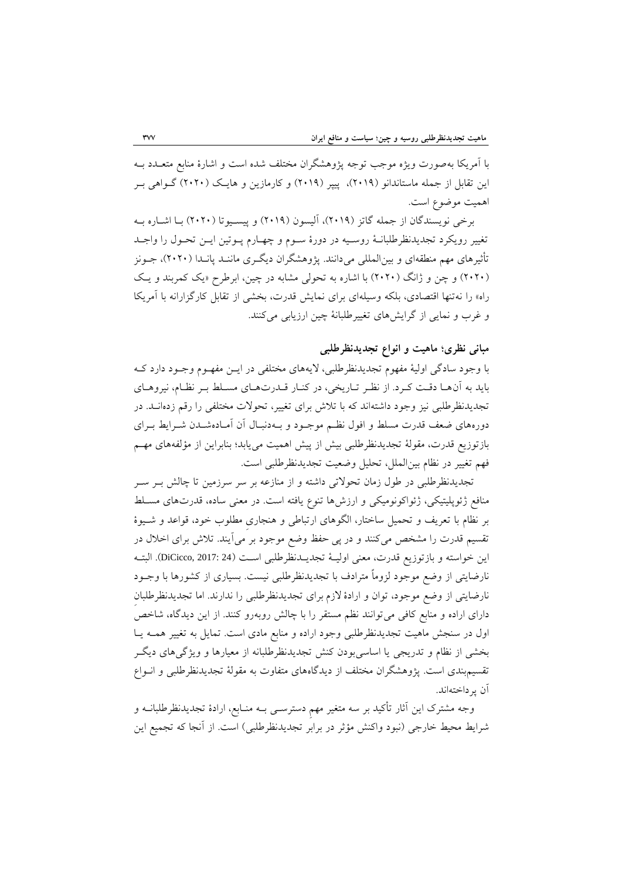با آمريكا بهصورت ويژه موجب توجه پژوهشگران مختلف شده است و اشارهٔ منابع متعــدد بــه اين تقابل از جمله ماستاندانو (٢٠١٩)، پيپر (٢٠١٩) و کارمازين و هايـک (٢٠٢٠) گــواهي بـر اهبیت موضوع است.

برخی نویسندگان از جمله گاتز (۲۰۱۹)، آلیسون (۲۰۱۹) و پیسـیوتا (۲۰۲۰) بـا اشــاره بــه تغییر رويكرد تجديدنظرطلبانلۀ روسلیه در دورة سلوم و چهلارم دلوتین ايلن تحلول را واجلد تأثیرهای مهم منطقهای و بین|لمللی میدانند. پژوهشگران دیگـری ماننـد پانـدا (۲۰۲۰)، جــونز )2020( و چن و ژانگ )2020( با اشاره به تحولی مشابه در چین، ابرطرح »يک کبربفد و يلک راه» را نهتنها اقتصادى، بلكه وسیلهاى براى نمايش قدرت، بخشى از تقابل كارگزارانه با آمريكا و غرب و نمايی از گرايشهای تغییرطلبانۀ چین ارزيابی میکنند.

### **مبانی نظري؛ ماهيت و انواع تجدیدنظرطلبی**

با وجود سادگی اولیۀ موهوم تجديدنظرطلبی، اليههاو م تلوی در ايلن موهلوم وجلود دارد کله بايد به آن هـا دقـت کـرد. از نظـر تـاريخي، در کنـار قــدرتهـاي مسـلط بـر نظـام، نيروهـاي تجدیدنظرطلبی نیز وجود داشتهاند که با تلاش برای تغییر، تحولات مختلفی را رقم زدهانــد. در دورههای ضعف قدرت مسلط و افول نظـم موجـود و بـهدنبـال آن آمـادهشـدن شــرايط بــرای بازتوزيع قدرت، مقولۀ تجديدنظرطلبي بيش از پيش اهميت ميnبد؛ بنابراين از مؤلفههای مهــم فهم تغییر در نظام بین الملل، تحلیل وضعیت تجدیدنظرطلبی است.

تجديدنظرطلبی در طول زمان تحوالتی داشته و از مفازعه بر سر سرزمین تا چالش بلر سلر منافع ژئوپلیتیكی، ژئواكونومیكی و ارزشها تنوع یافته است. در معنی ساده، قدرتهای مسـلط بر نظام با تعريف و تحميل ساختار، الگوهاى ارتباطى و هنجارى مطلوب خود، قواعد و شـيوهٔ تقسیم قدرت را مشخص میکنند و در پی حفظ وضع موجود بر میآیند. تلاش برای اخلال در اين خواسته و بازتوزيع قدرت، معنى اوليـۀ تجديــدنظرطلبي اسـت (DiCicco, 2017: 24). البتــه نارضايتی از وضع موجود لزوماً مترادف با تجديدنظرطلبی نيست. بسياری از کشورها با وجــود نارضايتی از وضع موجود، توان و ارادهٔ لازم برای تجدیدنظرطلبی را ندارند. اما تجدیدنظرطلبان دارای اراده و منابع کافی میتوانند نظم مستقر را با چالش روبهرو کنند. از اين ديدگاه، شاخص اول در سنجش ماهیت تجدیدنظرطلبی وجود اراده و منابع مادی است. تمایل به تغییر همـه يـا بخشی از نظام و تدريجی يا اساسیبودن کنش تجديدنظرطلبانه از معيارها و ويژگیهای ديگر تقسیمبندی است. پژوهشگران مختلف از دیدگاههای متفاوت به مقولۀ تجدیدنظرطلبی و انسواع آن درداختهاند.

وجه مشترک اين آثار تأکید بر سه متغیر مهم دسترســی بــه منــابع، ارادهٔ تجدیدنظرطلبانــه و شرايط محیط خارجی (نبود واکنش مؤثر در برابر تجدیدنظرطلبی) است. از آنجا که تجمیع اين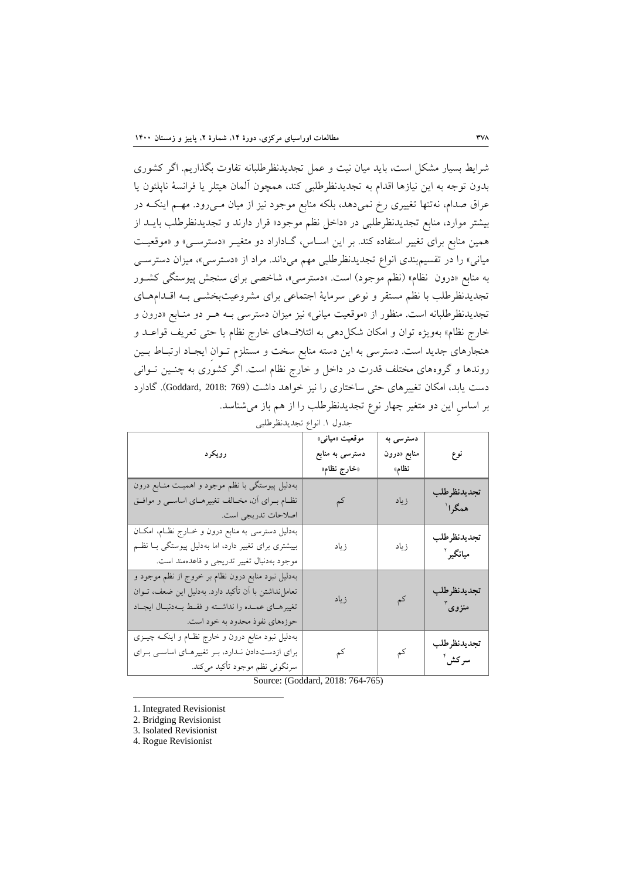شرايط بسيار مشكل است، بايد ميان نيت و عمل تجديدنظرطلبانه تفاوت بگذاريم. اگر كشورى بدون توجه به اين نيازها اقدام به تجديدنظرطلبي كند، همچون آلمان هیتلر يا فرانسۀ ناپلئون يا عراق صدام، نهتنها تغییری رخ نمیدهد، بلكه منابع موجود نیز از میان مـی٫ود. مهــم اینكــه در بیشتر موارد، منابع تجدیدنظرطلبی در «داخل نظم موجود» قرار دارند و تجدیدنظرطلب بایــد از همین منابع برای تغییر استفاده کند. بر این اسـاس، گـاداراد دو متغیـر «دسترسـی» و «موقعیـت میانی» را در تقسیمبندی انواع تجدیدنظرطلبی مهم میداند. مراد از «دسترسی»، میزان دسترسـی به منابع «درون نظام» (نظم موجود) است. «دسترسی»، شاخصی برای سنجش پیوستگی کشـور تجديدنظرطلب با نظم مستقر و نوعی سرمايۀ اجتماعی برای مشروعیتبخشــی بـه اقــدامهــای تجديدنظرطلبانه است. منظور از «موقعيت مياني» نيز ميزان دسترسي بـه هـر دو منـابع «درون و خارج نظام» بهويژه توان و امكان شكل(هی به ائتلافهای خارج نظام يا حتی تعريف قواعـد و هنجارهای جديد است. دسترسی به اين دسته منابع سخت و مستلزم تـوان ايجـاد ارتبـاط بـين روندها و گروههای مختلف قدرت در داخل و خارج نظام است. اگر کشوری به چنــین تــوانی دست يابد، امكان تغییرهاو حتی ساختارو را نیز خواهد داشت )769 2018: ,Goddard). گادارد بر اساس اين دو متغیر چهار نوع تجديدنظرطلب را از هم باز میشفاسد.

| رويكرد                                                                                                                                                                                             | موقعیت «میان <sub>ی»</sub><br>دسترسی به منابع<br>«خارج نظام» | دسترسی به<br>منابع «درون<br>نظام» | نوع                      |  |  |  |
|----------------------------------------------------------------------------------------------------------------------------------------------------------------------------------------------------|--------------------------------------------------------------|-----------------------------------|--------------------------|--|--|--|
| بهدلیل پیوستگی با نظم موجود و اهمیت منـابع درون<br>نظــام بــرای آن، مخــالف تغییرهــای اساســی و موافــق<br>اصلاحات تدريجي است.                                                                   | کم                                                           | زياد                              | تجديدنظرطلب<br>همگرا ٰ   |  |  |  |
| بهدلیل دسترسی به منابع درون و خارج نظام، امکان<br>بییشتری برای تغییر دارد، اما بهدلیل پیوستگی بـا نظـم<br>موجود بهدنبال تغيير تدريجي و قاعدهمند است.                                               | زياد                                                         | زياد                              | تجديدنظرطلب<br>ميانگير آ |  |  |  |
| بهدلیل نبود منابع درون نظام بر خروج از نظم موجود و<br>تعاملنداشتن با آن تأكيد دارد. بهدليل اين ضعف، تــوان<br>تغییرهـای عمـده را نداشـته و فقـط بـهدنبـال ایجـاد<br>حوزههای نفوذ محدود به خود است. | زياد                                                         | کم                                | تجديدنظرطلب<br>منزوی ٔ   |  |  |  |
| بهدلیل نبود منابع درون و خارج نظـام و اینکـه چیــزی<br>برای ازدستدادن ندارد، بر تغییرهای اساسی برای<br>سرنگونی نظم موجود تأکید م <i>ی</i> کند.                                                     | کم                                                           | کم                                | تجديدنظرطلب<br>سركش آ    |  |  |  |

جدول .1 انواع تجديدنظرطلبی

Source: (Goddard, 2018: 764-765)

1. Integrated Revisionist

2. Bridging Revisionist

3. Isolated Revisionist

**.** 

4. Rogue Revisionist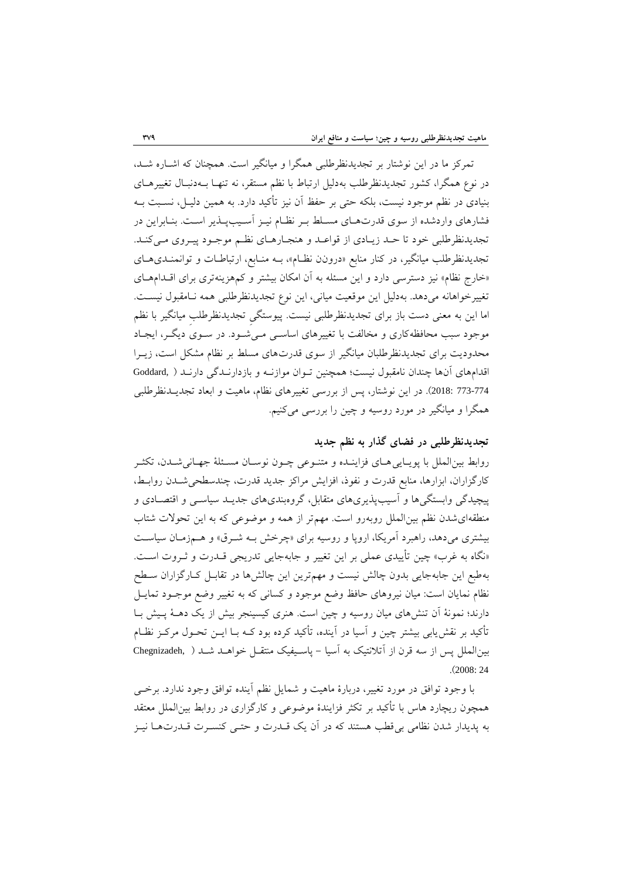تمرکز ما در اين نوشتار بر تجديدنظرطلبي همگرا و ميانگير است. همچنان که اشـاره شـد، در نوع همگرا، کشور تجدیدنظرطلب بهدلیل ارتباط با نظم مستقر، نه تنهـا بـهدنبـال تغییرهـای بفیادو در نظم موجود نیست، بلكه حتی بر حوظ آن نیز تأکید دارد. به هبین دلیل ، نسلبت بله فشارهاي واردشده از سوي قدرتهاي مسلط بـر نظـام نيـز آسـيبپـذير اسـت. بنـابراين در تجديدنظرطلبي خود تا حـد زيـادي از قواعـد و هنجـارهـاي نظـم موجـود پيـروي مـيكنـد. تجديدنظرطلب ميانگير، در کنار منابع «درونن نظـام»، بـه منـابع، ارتباطـات و توانمنـدیهـای «خارج نظام» نیز دسترسی دارد و این مسئله به آن امکان بیشتر و کمهزینهتری برای اقلدامهای تغییرخواهانه میدهد. بهدلی اين موقویت میانی، اين نوع تجديدنظرطلبی هبه نلاموبول نیسلت. اما اين به معنی دست باز برای تجديدنظرطلبی نیست. پیوستگی تجدیدنظرطلب میانگیر با نظم موجود سبب محافظهکاری و مخالفت با تغییرهای اساسـی مـیشـود. در سـوی دیگـر، ایجـاد محدوديت براي تجديدنظرطلبان ميانگير از سوي قدرتهاي مسلط بر نظام مشكل است، زيـرا اقدامهای آنها چندان نامقبول نیست؛ همچنین تـوان موازنـه و بازدارنــدگی دارنــد ( ,Goddard 773-773 2018). در اين نوشتار، پس از بررسی تغییرهای نظام، ماهیت و ابعاد تجديـدنظرطلبی هبگرا و میانگیر در مورد روسیه و چین را بررسی میکفیم.

### **تجدیدنظرطلبی در فضاي گذار به نظم جدید**

روابط بینالملل با پویـایی هـای فزاينــده و متنــوعی چــون نوســان مسـئلۀ جهــانیشــدن، تكثــر کارگزاران، ابزارها، منابع قدرت و نفوذ، افزايش مراکز جديد قدرت، چندسطحی شـدن روابـط، ییچیدگی وابستگیها و آسیب پذیریهای متقابل، گروهبندیهای جدیـد سیاسـی و اقتصـادی و منطقهای شدن نظم بین الملل روبهرو است. مهم تر از همه و موضوعی که به این تحولات شتاب بیشتری میدهد، راهبرد آمريكا، اروپا و روسیه برای «چرخش بـه شـرق» و هـمزمـان سیاسـت «نگاه به غرب» چین تأيیدی عملی بر اين تغییر و جابهجايی تدريجی قـدرت و ثـروت اسـت. بهطبع اين جابهجايی بدون چالش نيست و مهمترين اين چالشها در تقابـل کـارگزاران سـطح نظام نمايان است: ميان نيروهاي حافظ وضع موجود و کسانی که به تغییر وضع موجـود تمايـل دارند؛ نمونۀ آن تنشهای میان روسیه و چین است. هنری کیسینجر بیش از یک دهـۀ پـیش بـا تأکید بر نوشيابی بیشتر چین و آسیا در آيفده، تأکید کرده بود کله بلا ايلن تحلول مرکلز نظلام بینالملل پس از سه قرن از آتلانتیک به آسیا - پاسیفیک منتقـل خواهـد شـد ( ,Chegnizadeh .)2008: 24

با وجود توافق در مورد تغییر، دربارهٔ ماهیت و شمایل نظم آینده توافق وجود ندارد. برخــی همچون ريچارد هاس با تأکید بر تكثر فزايندهٔ موضوعی و کارگزاری در روابط بین الملل معتقد به دديدار شدن نظامی بیقفب هستفد که در آن يک قلدرت و حتلی کفسلرت قلدرت هلا نیلز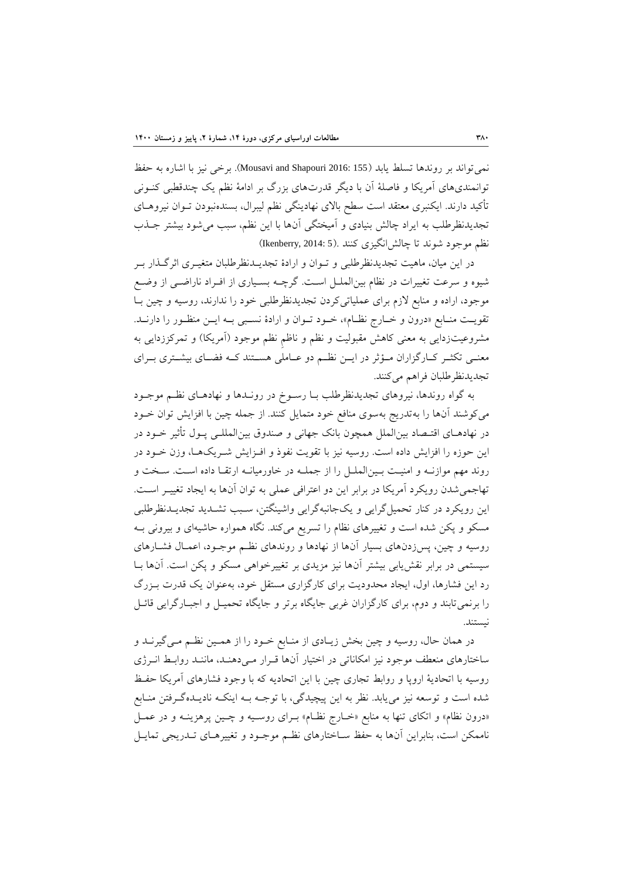نبیتواند بر روندها تسلط يابد )155 2016: Shapouri and Mousavi). برخی نیز با اشاره به حوظ توانمندیهای آمریکا و فاصلۀ آن با دیگر قدرتهای بزرگ بر ادامۀ نظم یک چندقطبی کنــونی تأکید دارند. ایکنبری معتقد است سطح بالای نهادینگی نظم لیبرال، بسندهنبودن تـوان نیروهـای تجديدنظرطلب به ايراد چالش بنيادى و آميختگی آنها با اين نظم، سبب می شود بیشتر جـذب نظم موجود شوند تا چالش انگیزی کنند .(Ikenberry, 2014: 5)

در اين ميان، ماهيت تجديدنظرطلبي و تــوان و ارادهٔ تجديــدنظرطلبان متغيــرى اثرگــذار بــر شیوه و سرعت تغییرات در نظام بینالبلل اسلت. گرچله بسلیارو از افلراد ناراضلی از وضل موجود، اراده و منابع لازم برای عملیاتیکردن تجدیدنظرطلبی خود را ندارند، روسیه و چین بـا تقويـت منــابع «درون و خــارج نظــام»، خــود تــوان و ارادهٔ نســبی بــه ايــن منظــور را دارنــد. مشروعیتزدایی به معنی کاهش مقبولیت و نظم و ناظم نظم موجود (آمریکا) و تمرکززدایی به معنــی تكثــر كــارگزاران مــؤثر در ايــن نظــم دو عــاملی هســتند کــه فضــای بیشــتری بــرای تجديدنظرطلبان فراهم میکففد.

به گواه روندها، نیروهاو تجديدنظرطلب بلا رسلوخ در رونلدها و نهادهلاو نظلم موجلود میکوشند آنها را بهتدريج بهسوی منافع خود متمايل کنند. از جمله چین با افزايش توان خــود در نهادهــای اقتــصاد بین|لملل همچون بانک جهانی و صندوق بین|لمللــی پــول تأثیر خــود در اين حوزه را افزايش داده است. روسیه نیز با توويت نووذ و افلزايش شلريک هلا، وزن خلود در روند مهم موازنـه و امنیـت بـینالملـل را از جملـه در خاورمیانـه ارتقـا داده اسـت. سـخت و تهاجبیشدن رويكرد آمريكا در برابر اين دو اعترافی عبلی به توان آنها به ايجاد تغییلر اسلت. اين رويكرد در کفار تحبی گرايی و يکجانبهگرايی واشیفگتن، سلبب تشلديد تجديلدنظرطلبی مسکو و پکن شده است و تغییرهای نظام را تسریع میکند. نگاه همواره حاشیهای و بیرونی بــه روسیه و چین، پس زدنهای بسیار آنها از نهادها و روندهای نظم موجـود، اعمـال فشـارهای سیستبی در برابر نوشيابی بیشتر آنها نیز مزيدو بر تغییرخواهی مسكو و دكن است. آنها بلا رد اين فشارها، اول، ايجاد محدوديت براي کارگزاري مستقل خود، بهعنوان يک قدرت بـزرگ را برنبیتابفد و دوم، براو کارگزاران غربی جايگاه برتر و جايگاه تحبیل و اجبلارگرايی قائل نیستفد.

در همان حال، روسیه و چین بخش زیـادی از منـابع خـود را از همـین نظـم مـی&یرنــد و ساختارهای منعطف موجود نیز امكاناتی در اختیار آنها قـرار مـیدهنـد، ماننـد روابـط انـرژی روسيه با اتحاديۀ اروپا و روابط تجارى چين با اين اتحاديه که با وجود فشارهاى آمريکا حفـظ شده است و توسعه نیز می یابد. نظر به این پیچیدگی، با توجـه بــه اینکــه نادیــدهگـرفتن منــابع «درون نظام» و اتكاى تنها به منابع «خـارج نظـام» بـراى روسـيه و چـين پرهزينـه و در عمـل ناممكن است، بنابراين آنها به حفظ ســاختارهای نظـم موجــود و تغییرهــای تــدریجی تمایــل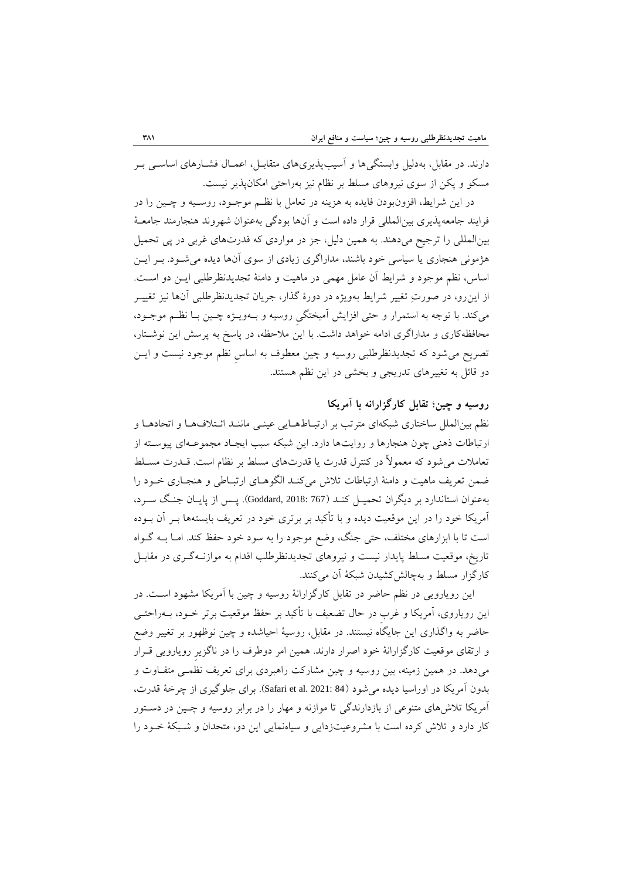دارند. در مقابل، بهدلیل وابستگیها و آسیبپذیریهای متقابـل، اعمـال فشـارهای اساسـی بـر مسكو و يكن از سوى نیروهاى مسلط بر نظام نیز بهراحتی امكان پذیر نیست.

در اين شرايط، افزونبودن فايده به هزينه در تعامل با نظـم موجـود، روسـيه و چـين را در فرايند جامعهپذيري بين|لمللي قرار داده است و آنها بودگی بهعنوان شهروند هنجارمند جامعـۀ بینالمللی را ترجیح میدهند. به همین دلیل، جز در مواردی که قدرتهای غربی در پی تحمیل هژمونی هفجارو يا سیاسی خود باشفد، مداراگرو زيادو از سوو آنها ديده میشلود. بلر ايلن اساس، نظم موجود و شرايط آن عامل مهمی در ماهيت و دامنۀ تجديدنظرطلبی ايـن دو اسـت. از اينرو، در صورتِ تغییر شرايط بهويژه در دورة گذار، جريان تجديدنظرطلبی آنها نیز تغییلر میکند. با توجه به استمرار و حتی افزايش آميختگی روسیه و بـهويـژه چـين بــا نظــم موجــود، محافظهکاری و مداراگری ادامه خواهد داشت. با اين ملاحظه، در پاسخ به پرسش اين نوشـتار، تصريح می شود که تجديدنظرطلبی روسيه و چين معطوف به اساس نظم موجود نيست و ايــن دو قائل به تغییرهای تدریجی و بخشی در این نظم هستند.

### **روسيه و چين؛ تقابل كارگزارانه با آمریکا**

نظم بین الملل ساختاری شبكهای مترتب بر ارتبـاطهـایی عینـی ماننـد ائـتلافهـا و اتحادهـا و ارتباطات ذهنی چون هنجارها و روايتها دارد. اين شبكه سبب ايجـاد مجموعـهای پيوسـته از توامالت میشود که موبوالً در کفترل قدرت يا قدرتهاو مسلط بر نظام است. قلدرت مسللط ضبن توريف ماهیت و دامفۀ ارتباطات تالش میکفلد الگوهلاو ارتبلاطی و هفجلارو خلود را بهعفوان استاندارد بر ديگران تحبیل کفلد )767 2018: ,Goddard). دل) از دايلان جفلگ سلرد، آمريكا خود را در اين موقویت ديده و با تأکید بر برترو خود در توريف بايستهها بلر آن بلوده است تا با ابزارهای مختلف، حتی جنگ، وضع موجود را به سود خود حفظ کند. امـا بــه گــواه تاريخ، موقعيت مسلط پايدار نيست و نيروهاى تجديدنظرطلب اقدام به موازنـهگـرى در مقابـل کارگزار مسلط و بهچالشکشیدن شبکۀ آن میکنند.

اين رويارويي در نظم حاضر در تقابل کارگزارانۀ روسيه و چين با آمريکا مشهود اسـت. در اين روياروي، آمريكا و غرب در حال تضعيف با تأكيد بر حفظ موقعيت برتر خــود، بــهراحتــي حاضر به واگذاری این جایگاه نیستند. در مقابل، روسیۀ احیاشده و چین نوظهور بر تغییر وضع و ارتقای موقعیت کارگزارانۀ خود اصرار دارند. همین امر دوطرف را در ناگزیر رویارویی قــرار می دهد. در همین زمینه، بین روسیه و چین مشارکت راهبردی برای تعریف نظمـی متفـاوت و بدون آمريكا در اوراسيا ديده مي شود (84 :Safari et al. 2021). براي جلوگيري از چرخۀ قدرت، آمريكا تلاش،های متنوعی از بازدارندگی تا موازنه و مهار را در برابر روسیه و چـین در دسـتور کار دارد و تلاش کرده است با مشروعیتزدايی و سیاهنمايی اين دو، متحدان و شـبکۀ خـود را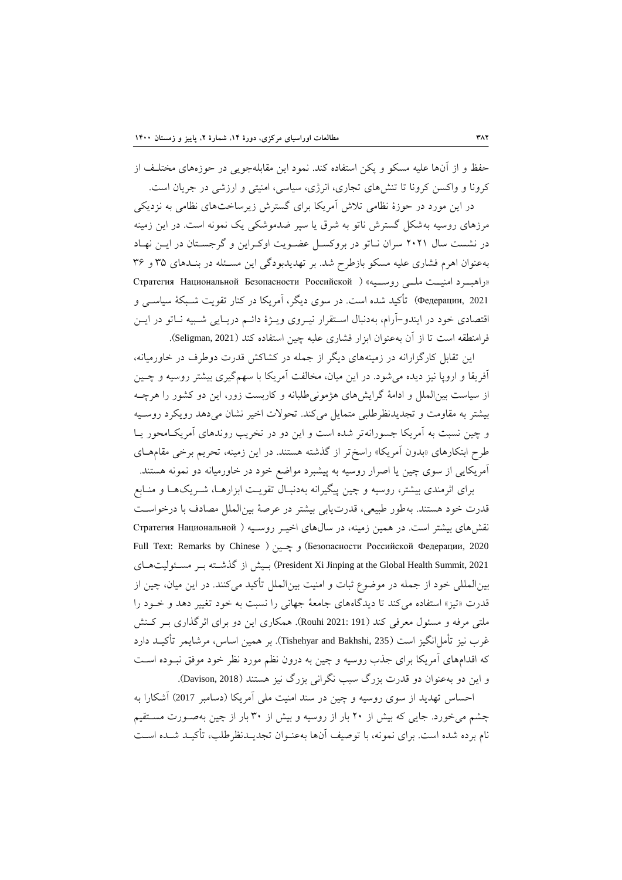حفظ و از آنها علیه مسكو و یكن استفاده كند. نمود این مقابلهجویی در حوزههای مختلـف از کرونا و واکسن کرونا تا تفشهاو تجارو، انرژو، سیاسی، امفیتی و ارزشی در جريان است.

در اين مورد در حوزة نظامی تالش آمريكا براو گسترش زيرساختهاو نظامی به نزديكی مرزهای روسیه بهشكل گسترش ناتو به شرق یا سپر ضدموشكی یک نمونه است. در این زمینه در نشست سال 2021 سران نلاتو در بروکسل عضلويت اوکلراين و گرجسلتان در ايلن نهلاد بهعفوان اهرم فشارو علیه مسكو بازطرح شد. بر تهديدبودگی اين مسل له در بفلدهاو 35 و 36 «راهب د امنیت مللی روسلیه» ( Стратегия Национальной Безопасности Российской Федерации, 2021) تأکید شده است. در سوی ديگر، آمريکا در کنار تقويت شـبکۀ سياسـي و اقتصادی خود در ايندو-آرام، بهدنبال استقرار نيـروی ويـژهٔ دائـم دريـايی شـبيه نــاتو در ايــن فرامنطقه است تا از آن بهعنوان ابزار فشاری علیه چین استفاده کند (Seligman, 2021).

اين تقابل کارگزارانه در زمينههای ديگر از جمله در کشاکش قدرت دوطرف در خاورميانه، آفريقا و اروپا نيز ديده می شود. در اين ميان، مخالفت آمريكا با سهمگيری بيشتر روسيه و چــين از سیاست بینالبل و ادامۀ گرايشهاو هژمونیطلبانه و کاربست زور، اين دو کشور را هرچله بیشتر به مقاومت و تجدیدنظرطلبی متمایل میکند. تحولات اخیر نشان میدهد رویکرد روسـیه و چین نسبت به آمريكا جسورانهتر شده است و اين دو در تخريب روندهای آمريكـامحور يـا طرح ابتكارهای «بدون آمريكا» راسختر از گذشته هستند. در اين زمينه، تحريم برخی مقامهـای آمريكايی از سوی چین يا اصرار روسیه به پیشبرد مواضع خود در خاورمیانه دو نمونه هستند.

برای اثرمندی بیشتر، روسیه و چین پیگیرانه بهدنبال تقویت ابزارهـا، شـریکهـا و منـابع قدرت خود هستفد. بهطور طبیوی، قدرتيابی بیشتر در عرصۀ بینالبل مصادف با درخواسلت نقش های بیشتر است. در همین زمینه، در سال های اخیـر روسـیه ( Стратегия Национальной Full Text: Remarks by Chinese ( چلین و( Безопасности Российской Федерации, <sup>2020</sup> هلاو ولیت مسل بلر گذشلته از بلیش( President Xi Jinping at the Global Health Summit, 2021 بینالبللی خود از جبله در موضوع ثبات و امفیت بینالبل تأکید میکففد. در اين میان، چین از قدرت «تیز» استفاده میکند تا دیدگاههای جامعۀ جهانی را نسبت به خود تغییر دهد و خـود را ملتی مرفه و مسئول معرفی کند (191 :2021 Rouhi). همکاری اين دو برای اثرگذاری بـر کـنش غرب نیز تأمل انگیز است (Tishehyar and Bakhshi, 235). بر همین اساس، مرشایمر تأکیــد دارد که اقدامهای آمريکا برای جذب روسیه و چین به درون نظم مورد نظر خود موفق نبـوده اسـت و اين دو بهعنوان دو قدرت بزرگ سبب نگرانی بزرگ نيز هستند (Davison, 2018).

احساس تهديد از سوى روسيه و چين در سند امنيت ملي آمريكا (دسامبر 2017) آشكارا به چشم میخورد. جايی که بیش از 20 بار از روسیه و بیش از 30 بار از چین بهصلورت مسلتویم نام برده شده است. براو نبونه، با توصیف آنها بهعفلوان تجديلدنظرطلب، تأکیلد شلده اسلت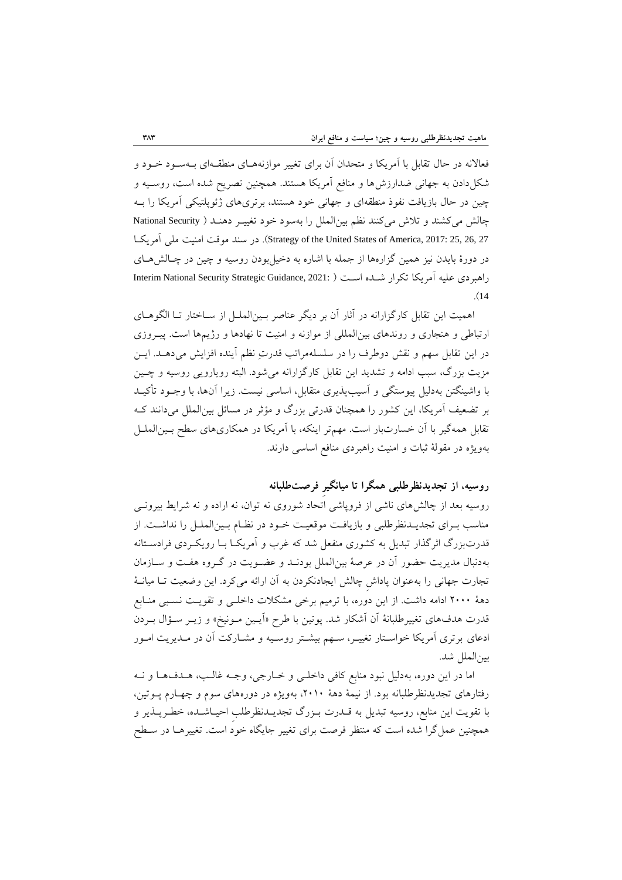فعالانه در حال تقابل با آمريكا و متحدان آن برای تغییر موازنههـای منطقـهای بـهسـود خـود و شكل دادن به جهانی ضدارزشها و منافع آمريكا هستند. همچنين تصريح شده است، روسـيه و چین در حال بازیافت نفوذ منطقهای و جهانی خود هستند، برتریهای ژئویلتیكی آمریكا را بـه چالش میکشند و تلاش میکنند نظم بین الملل را بهسود خود تغییـر دهنـد ( National Security آمريكلا ملی امفیت موقت سفد در .(Strategy of the United States of America, 2017: 25, 26, 27 در دورهٔ بایدن نیز همین گزارهها از جمله با اشاره به دخیل بودن روسیه و چین در چـالش هـای راهبردی علیه آمريكا تكرار شـلـده اسـت ( :Interim National Security Strategic Guidance, 2021 .)<sup>14</sup>

اهميت اين تقابل کارگزارانه در آثار آن بر ديگر عناصر بـينالملـل از سـاختار تــا الگوهــاي ارتباطی و هنجاری و روندهای بین|لمللی از موازنه و امنیت تا نهادها و رژیمها است. پیـروزی در اين تقابل سهم و نقش دوطرف را در سلسلهمراتب قدرتِ نظم آينده افزايش میدهـد. ايـن مزيت بزرگ، سبب ادامه و تشديد اين تقابل کارگزارانه می شود. البته رويارويی روسيه و چـين با واشینگتن بهدلیل پیوستگی و آسیبپذیری متقابل، اساسی نیست. زیرا آنها، با وجــود تأکیــد بر تضعیف آمریکا، این کشور را همچنان قدرتی بزرگ و مؤثر در مسائل بین الملل میدانند ک تقابل همهگیر با آن خسارتبار است. مهمتر اینكه، با آمریكا در همكاریهای سطح بـینالملـل بهويژه در مقولۀ ثبات و امنيت راهبردى منافع اساسی دارند.

**روسيه، از تجدیدنظرطلبی همگرا تا ميانگيرِ فرصتطلبانه** 

روسیه بعد از چالشهای ناشی از فروپاشی اتحاد شوروی نه توان، نه اراده و نه شرایط بیرونـی مناسب بـرای تجديـدنظرطلبی و بازيافـت موقعيـت خــود در نظـام بـين الملــل را نداشــت. از قدرتبزرگ اثرگذار تبديل به کشوری منفعل شد که غرب و آمريکـا بــا رويکــردی فرادســتانه بهدنبال مديريت حضور آن در عرصۀ بینالبل بودنلد و عضلويت در گلروه هولت و سلاز مان تجارت جهانی را بهعنوان پاداش چالش ايجادنكردن به آن ارائه میکرد. اين وضعيت تــا ميانــۀ دهۀ ٢٠٠٠ ادامه داشت. از اين دوره، با ترميم برخی مشكلات داخلـی و تقويـت نسـبی منـابع قدرت هدفهای تغییرطلبانۀ آن آشكار شد. پوتین با طرح «آیــین مــونیخ» و زیــر ســؤال بــردن ادعاو برترو آمريكا خواسلتار تغییلر، سلهم بیشلتر روسلیه و مشلارکت آن در ملديريت املور بینالبل شد.

اما در اين دوره، بهدليل نبود منابع کافی داخلـی و خـارجی، وجـه غالـب، هــدف۱مـا و نــه رفتارهای تجدیدنظرطلبانه بود. از نیمۀ دهۀ ٢٠١٠، بهویژه در دورههای سوم و چهـارم پــوتین، با تقويت اين منابع، روسيه تبديل به قــدرت بــزرگ تجديــدنظرطلب احيــاشــده، خطــرپــذير و همچنین عمل گرا شده است که منتظر فرصت برای تغییر جایگاه خود است. تغییرهـا در سـطح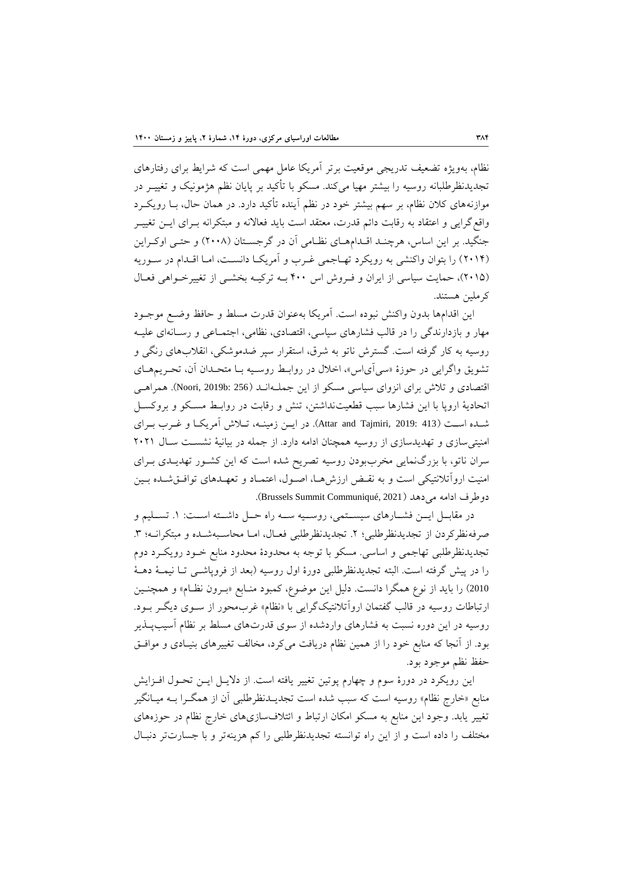نظام، بهويژه تضعيف تدريجي موقعيت برتر آمريكا عامل مهمی است كه شرايط برای رفتارهای تجدیدنظرطلبانه روسیه را بیشتر مهیا میکند. مسکو با تأکید بر پایان نظم هژمونیک و تغییــر در موازنههاو کالن نظام، بر سهم بیشتر خود در نظم آيفده تأکید دارد. در هبان حال، بلا رويكلرد واقع گرايی و اعتقاد به رقابت دائم قدرت، معتقد است بايد فعالانه و مبتكرانه بـرای ايــن تغييــر جنگيد. بر اين اساس، هرچنـد اقـدامهـاي نظـامي آن در گرجسـتان (٢٠٠٨) و حتـي اوکـراين (٢٠١۴) را بتوان واکنشی به رويكرد تهـاجمی غـرب و آمريكـا دانسـت، امـا اقـدام در سـوريه (٢٠١۵)، حمايت سياسی از ايران و فروش اس ۴٠٠ بـه ترکيـه بخشـی از تغييرخـواهی فعـال کرملین هستفد.

اين اقدامها بدون واکفش نبوده است. آمريكا بهعفوان قدرت مسلط و حافظ وضل موجلود مهار و بازدارندگی را در قالب فشارهاو سیاسی، اقتصادو، نظامی، اجتبلاعی و رسلانه او علیله روسیه به کار گرفته است. گسترش ناتو به شرق، استورار سپر ضدموشكی، انوالمهاو رنگی و تشويق واگرايی در حوزهٔ «سی آی اس»، اخلال در روابـط روسـيه بـا متحـدان آن، تحـريـمهــاي اقتصادو و تالش براو انزواو سیاسی مسكو از اين جبلله انلد )256 :b2019 ,Noori). هبراهلی اتحاديۀ ارودا با اين فشارها سبب قفویتنداشتن، تفش و رقابت در روابلط مسلكو و بروکسل شـده اسـت (413 Attar and Tajmiri, 2019: 413). در ايــن زمينــه، تــلاش آمريكــا و غــرب بــراي امنیتی سازی و تهدیدسازی از روسیه همچنان ادامه دارد. از جمله در بیانیۀ نشست سال ۲۰۲۱ سران ناتو، با بزرگ $\omega$ نمايی مخرببودن روسیه تصريح شده است که اين کشـور تهديــدی بــرای امنیت اروآتلانتیكی است و به نقـض ارزش۵مـا، اصـول، اعتمـاد و تعهـدهای توافــقشــده بــین دوطرف ادامه میدهد )2021 ,Communiqué Summit Brussels).

در مقابـــل ايــــن فشــــارهای سیســـتمی، روســـيه ســـه راه حـــل داشـــته اســـت: ١. تســـليم و صرفهنظرکردن از تجديدنظرطلبي؛ ٢. تجديدنظرطلبي فعـال، امـا محاسـبهشـده و مبتكرانـه؛ ٣. تجديدنظرطلبي تهاجمي و اساسي. مسكو با توجه به محدودة محدود منابع خـود رويكـرد دوم را در پیش گرفته است. البته تجدیدنظرطلبی دورهٔ اول روسیه (بعد از فروپاشـبی تـا نیمـهٔ دهـهٔ 2010) را بايد از نوع همگرا دانست. دليل اين موضوع، كمبود منـابع «بـرون نظـام» و همچنـين ارتباطات روسیه در قالب گفتمان اروآتلانتیکگرایی با «نظام» غرب0محور از سـوی دیگـر بـود. روسیه در اين دوره نسبت به فشارهای واردشده از سوی قدرتهای مسلط بر نظام آسیبپــذیر بود. از آنجا که منابع خود را از همین نظام دریافت میکرد، مخالف تغییرهای بنیـادی و موافـق حوظ نظم موجود بود.

اين رويكرد در دورهٔ سوم و چهارم پوتين تغيير يافته است. از دلايـل ايـن تحـول افـزايش منابع «خارج نظام» روسیه است که سبب شده است تجدیــدنظرطلبی آن از همگــرا بــه میــانگیر تغییر یابد. وجود این منابع به مسكو امكان ارتباط و ائتلافسازیهای خارج نظام در حوزههای مختلف را داده است و از اين راه توانسته تجديدنظرطلبي را کم هزينهتر و با جسارتتر دنبال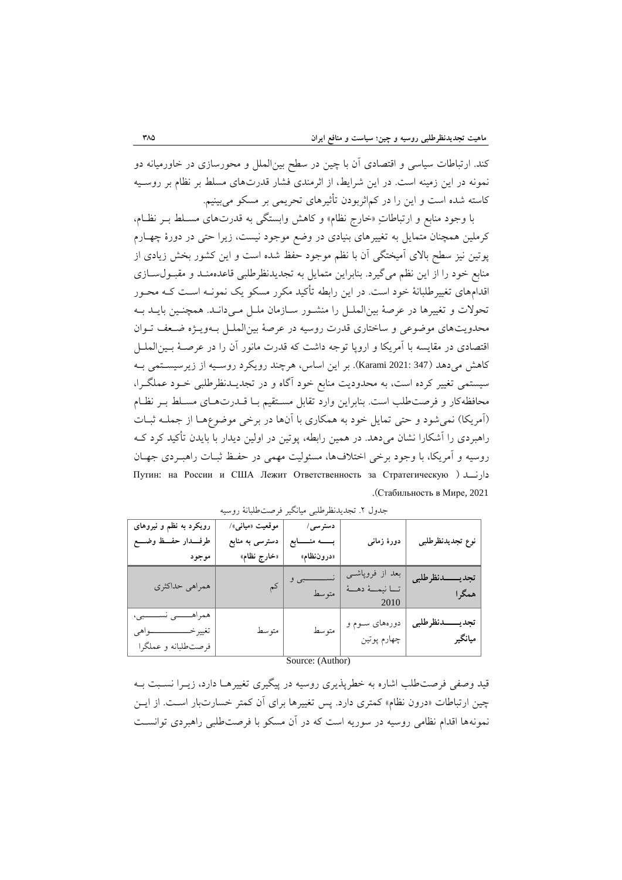کفد. ارتباطات سیاسی و اقتصادو آن با چین در سفس بینالبل و محورسازو در خاورمیانه دو نمونه در اين زمينه است. در اين شرايط، از اثرمندى فشار قدرتهاى مسلط بر نظام بر روسـيه کاسته شده است و اين را در کماثربودن تأثیرهاو تحريبی بر مسكو میبیفیم.

با وجود منابع و ارتباطاتِ «خارج نظام» و کاهش وابستگی به قدرتهای مسـلط بـر نظـام، کرملین همچنان متمایل به تغییرهای بنیادی در وضع موجود نیست، زیرا حتی در دورهٔ چهـارم پوتین نیز سطح بالای آمیختگی آن با نظم موجود حفظ شده است و این کشور بخش زیادی از منابع خود را از اين نظم میگیرد. بنابراين متمايل به تجديدنظرطلبی قاعدهمنـد و مقبـول سـازی اقدامهاو تغییرطلبانۀ خود است. در اين رابفه تأکید مكرر مسكو يک نبونله اسلت کله محلور تحولات و تغییرها در عرصۀ بینالملـل را منشـور سـازمان ملـل مـیدانـد. همچنـین بایـد بـه محدويتهاى موضوعى و ساختارى قدرت روسيه در عرصۀ بين الملـل بـهويـژه ضـعف تـوان اقتصادی در مقايسه با آمريكا و اروپا توجه داشت كه قدرت مانور آن را در عرصـۀ بـينالملـل کاهش میدهد )347 2021: Karami). بر اين اساس، هرچفد رويكرد روسلیه از زيرسیسلتبی بله سیستمی تغییر کرده است، به محدودیت منابع خود آگاه و در تجدیــدنظرطلبی خــود عملگــرا، محافظهکار و فرصت طلب است. بنابراين وارد تقابل مستقيم بـا قــدرت هـاي مسـلط بـر نظـام (آمريكا) نمی شود و حتی تمايل خود به همكاری با آنها در برخی موضوعهـا از جملـه ثبـات راهبردو را آشكارا نشان میدهد. در هبین رابفه، دوتین در اولین ديدار با بايدن تأکید کرد کله روسیه و آمریکا، با وجود برخی اختلافها، مسئولیت مهمی در حفظ ثبـات راهبـردی جهـان Путин: на России <sup>и</sup> США Лежит Ответственность за Стратегическую ( دارنللد .)Стабильность в Мире, 2021

| رویکرد به نظم و نیروهای<br>طرفــــدار حفــــظ وضـــــع                                | موقعیت «میان <sub>ف</sub> »/<br>دسترسی به منابع | دسترسی/<br>بسسه منسسابع             | دورهٔ زمان <sub>ی</sub>                  | نوع تجديدنظرطلبي            |
|---------------------------------------------------------------------------------------|-------------------------------------------------|-------------------------------------|------------------------------------------|-----------------------------|
| موجود                                                                                 | «خارج نظام»                                     | «دروننظام»                          |                                          |                             |
| همراهي حداكثري                                                                        |                                                 |                                     | بعد از فروپاشــی<br>تــا نيمــهٔ دهـــهٔ | تجديسسدنظرطلبي<br>همگرا     |
| همراهــــــــــى نســـــــــبى،<br>تغييرخـــــــــــــــــواهي<br>فرصتطلبانه و عملگرا | متوسط                                           | متوسط<br>$\alpha$ $\alpha$ $\alpha$ | دورههای سوم و<br>چهارم پوتين             | تجديــــدنظرطلبي<br>ميانگير |

جدول ٢. تجدیدنظرطلبی میانگیر فرصتطلبانۀ روسیه

Source: (Author)

قید وصفی فرصتطلب اشاره به خطرپذیری روسیه در پیگیری تغییرهـا دارد، زیــرا نسـبت بــه چین ارتباطات «درون نظام» کمتری دارد. پس تغییرها برای آن کمتر خسارتبار است. از ایس نبونهها اقدام نظامی روسیه در سوريه است که در آن مسكو با فرصتطلبی راهبردو توانسلت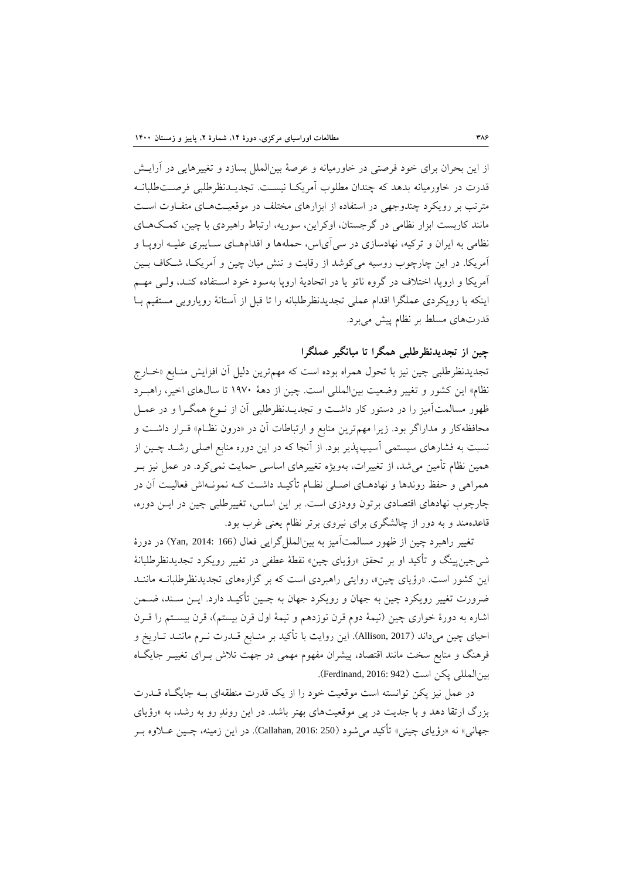از اين بحران براو خود فرصتی در خاورمیانه و عرصۀ بینالبل بسازد و تغییرهايی در آرايلش قدرت در خاورمیانه بدهد که چندان مطلوب آمریکـا نیسـت. تجدیــدنظرطلبی فرصــتEطلبانــه مترتب بر رويكرد چندوجهی در استفاده از ابزارهای مختلف در موقعیتهای متفاوت است مانند کاربست ابزار نظامی در گرجستان، اوکراين، سوريه، ارتباط راهبردي با چين، کمکهاي نظامی به ايران و ترکيه، نهادسازی در سی آیاس، حملهها و اقدامههای سـايبری عليـه اروپـا و آمريكا. در اين چارچوب روسيه میكوشد از رقابت و تنش ميان چين و آمريكـا، شـكاف بـين آمريكا و ارودا، اختالف در گروه ناتو يا در اتحاديۀ ارودا بهسود خود اسلتواده کفلد، وللی مهلم اينكه با رويكردی عملگرا اقدام عملی تجديدنظرطلبانه را تا قبل از آستانۀ رويارويی مستقيم بـا قدرتهای مسلط بر نظام پیش میبرد.

# **چين از تجدیدنظرطلبی همگرا تا ميانگير عملگرا**

تجديدنظرطلبي چين نيز با تحول همراه بوده است که مهمترين دليل آن افزايش منـابع «خــارج نظام» این کشور و تغییر وضعیت بینالمللی است. چین از دهۀ ۱۹۷۰ تا سال های اخیر، راهبـرد ظهور مسالمتآمیز را در دستور کار داشت و تجدیــدنظرطلبی آن از نــوع همگــرا و در عمــل محافظهکار و مداراگر بود. زيرا مهمترين منابع و ارتباطات آن در «درون نظـام» قـرار داشـت و نسبت به فشارهای سیستمی آسیب پذیر بود. از آنجا که در این دوره منابع اصلی رشـد چـین از همین نظام تأمین می شد، از تغییرات، بهویژه تغییرهای اساسی حمایت نمیکرد. در عمل نیز بـر همراهی و حفظ روندها و نهادهـای اصـلی نظـام تأکیـد داشـت کـه نمونـهاش فعالیـت آن در چارچوب نهادهای اقتصادی برتون وودزی است. بر اين اساس، تغییرطلبی چین در ايـن دوره، قاعدهمند و به دور از چالشگری برای نیروی برتر نظام یعنی غرب بود.

تغییر راهبرد چین از ظهور مسالمتآمیز به بین|لملل گرایی فعال (166 :Yan, 2014) در دورهٔ شی جین پینگ و تأکید او بر تحقق «رؤیای چین» نقطۀ عطفی در تغییر رویکرد تجدیدنظرطلبانۀ اين کشور است. »رؤياو چین«، روايتی راهبردو است که بر گزارههاو تجديدنظرطلبانله مانفلد ضرورت تغییر رويكرد چین به جهان و رويكرد جهان به چلین تأکیلد دارد. ايلن سلفد، ضلبن اشاره به دورۀ خواري چین (نیمۀ دوم قرن نوزدهم و نیمۀ اول قرن بیستم)، قرن بیسـتم را قــرن احیای چین میداند (Allison, 2017). اين روايت با تأکید بر منـابع قــدرت نــرم ماننــد تــاريخ و فرهنگ و منابع سخت مانند اقتصاد، پیشران مفهوم مهمی در جهت تلاش بــرای تغییــر جایگــاه بین المللی یكن است (Ferdinand, 2016: 942).

در عمل نیز پكن توانسته است موقعیت خود را از یک قدرت منطقهای بـه جایگـاه قــدرت بزرگ ارتقا دهد و با جديت در پي موقعيتهاي بهتر باشد. در اين روندِ رو به رشد، به «رؤياي جهانی» نه «رؤياي چيني» تأکيد می شود (250 .Callahan, 2016: در اين زمينه، چــين عــلاوه بــر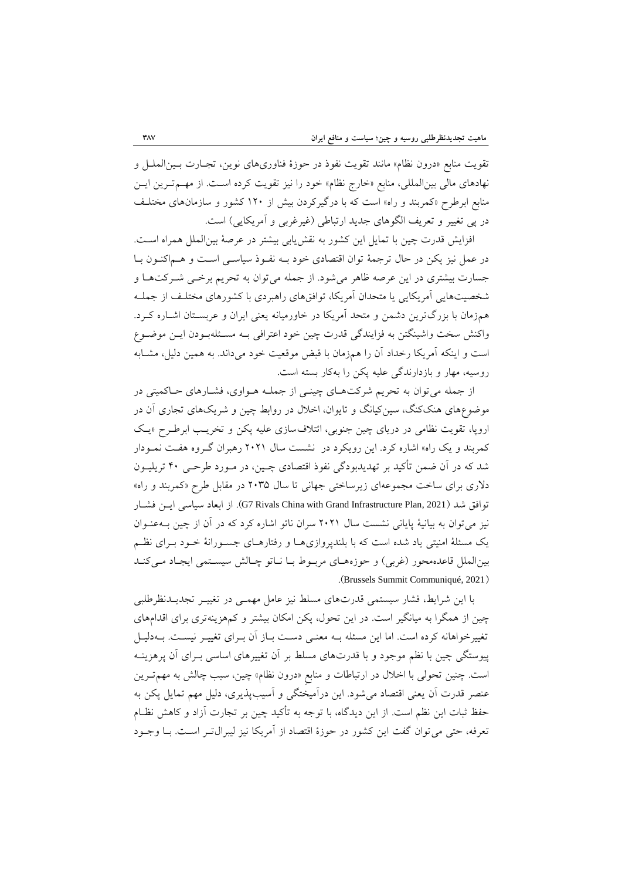تقويت منابع «درون نظام» مانند تقويت نفوذ در حوزهٔ فناوریهای نوين، تجـارت بــین|لملــل و نهادهای مالی بین المللی، منابع «خارج نظام» خود را نیز تقویت کرده است. از مهـم تـرین ایـن منابع ابرطرح «کمربند و راه» است که با درگیرکردن بیش از ۱۲۰ کشور و سازمانهای مختلف در پی تغییر و تعریف الگوهای جدید ارتباطی (غیرغربی و آمریكایی) است.

افزايش قدرت چین با تمايل اين کشور به نقش يابی بيشتر در عرصۀ بينالملل همراه است. در عمل نیز پكن در حال ترجمۀ توان اقتصادی خود بـه نفـوذ سیاسـی اسـت و هـماكنـون بـا جسارت بیشتری در اين عرصه ظاهر می شود. از جمله می توان به تحريم برخمی شـرکتهـا و شخصيتهايی آمريكايی يا متحدان آمريكا، توافقهای راهبردی با كشورهای مختلـف از جملـه همزمان با بزر ترين دشبن و متحد آمريكا در خاورمیانه يوفی ايران و عربسلتان اشلاره کلرد. واکنش سخت واشینگتن به فزايندگی قدرت چین خود اعترافی بـه مسـئلهبودن ايـن موضـوع است و اینکه آمریکا رخداد آن را همزمان با قبض موقعیت خود میداند. به همین دلیل، مشـابه روسیه، مهار و بازدارندگی علیه دكن را بهکار بسته است.

از جمله می توان به تحريم شرکتهای چینبی از جملـه هـواوی، فشـارهای حـاکمیتی در موضوعهای هنککنگ، سینکیانگ و تايوان، اخلال در روابط چین و شريکهای تجاری آن در اروپا، تقويت نظامی در درياى چين جنوبی، ائتلافسازى عليه پكن و تخريب ابرطرح «يك کمربند و يک راه» اشاره کرد. اين رويکرد در نشست سال ۲۰۲۱ رهبران گروه هفت نمـودار شد که در آن ضبن تأکید بر تهديدبودگی نووذ اقتصادو چلین، در ملورد طرحلی 40 تريلیلون دلاری برای ساخت مجموعهای زیرساختی جهانی تا سال ۲۰۳۵ در مقابل طرح «کمربند و راه» توافق شد (2021 G7 Rivals China with Grand Infrastructure Plan,). از ابعاد سیاسی ایــن فشــار نیز میتوان به بیانیۀ پایانی نشست سال ۲۰۲۱ سران ناتو اشاره کرد که در آن از چین بـهعنـوان يک مسئلۀ امنيتی ياد شده است که با بلندپروازیهـا و رفتارهـای جسـورانۀ خـود بـرای نظـم بینالملل قاعدهمحور (غربی) و حوزههای مربوط با ناتو چالش سیستمی ایجاد می کند .(Brussels Summit Communiqué, 2021)

با اين شرايط، فشار سيستمی قدرتهای مسلط نيز عامل مهمـی در تغییـر تجديــدنظرطلبی چین از هبگرا به میانگیر است. در اين تحول، دكن امكان بیشتر و کمهزيفهترو براو اقدامهاو تغییرخواهانه کرده است. اما این مسئله بـه معنـی دسـت بـاز آن بـرای تغییـر نیسـت. بـهدلیـل پیوستگی چین با نظم موجود و با قدرتهای مسلط بر آن تغییرهای اساسی بـرای آن پرهزینــه است. چنین تحولی با اخلال در ارتباطات و منابع «درون نظام» چین، سبب چالش به مهم تـرین عنصر قدرت آن يعنی اقتصاد می شود. اين درآميختگی و آسيبپذيری، دليل مهم تمايل پكن به حوظ ثبات اين نظم است. از اين ديدگاه، با توجه به تأکید چین بر تجارت آزاد و کاهش نظلام تعرفه، حتی می توان گفت اين کشور در حوزهٔ اقتصاد از آمريکا نيز ليبرال تـر اسـت. بــا وجــود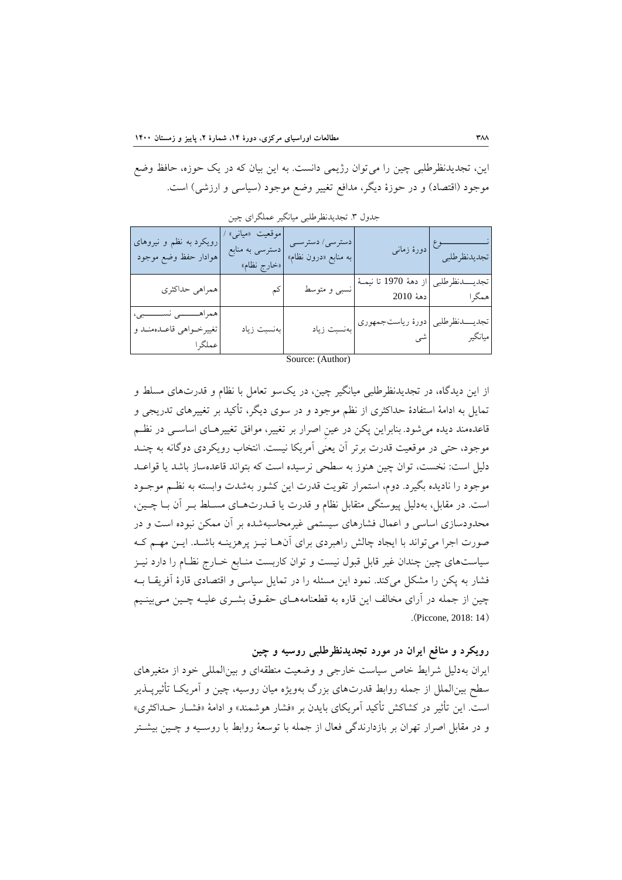اين، تجديدنظرطلبی چین را میتوان رژيبی دانست. به اين بیان که در يک حوزه، حافظ وض موجود (اقتصاد) و در حوزهٔ دیگر، مدافع تغییر وضع موجود (سیاسی و ارزشی) است.

| رویکرد به نظم و نیروهای<br>هوادار حفظ وضع موجود                    | موقعیت «میان <sub>ی</sub> » ⁄<br>دسترسي به منابع<br>«خارج نظام» | دسترسی/ دسترسـی<br>به منابع «درون نظام» |                                                               | نـــــــــــــــــــــوع  <br>تجدیدنظرطلبی |
|--------------------------------------------------------------------|-----------------------------------------------------------------|-----------------------------------------|---------------------------------------------------------------|--------------------------------------------|
| همراهي حداكثري                                                     | کم                                                              | ً  <br>  نسبى و متوسط                   | تجدیـــــدنظرطلبی  از دههٔ 1970 تا نیمــهٔ  <br>همگرا         |                                            |
| همراهـــــــــى نســــــــبى،<br>تغییرخواهی قاعـدهمنـد و<br>عملگرا | بەنسبت زياد                                                     |                                         | تجدیـــــدنظرطلبی <mark>دورهٔ ریاست جمهوری </mark><br>میانگیر |                                            |

جدول ٣. تجديدنظرطلبي ميانگير عملگراي چين

Source: (Author)

از اين ديدگاه، در تجديدنظرطلبي ميانگير چين، در يکسو تعامل با نظام و قدرتهای مسلط و تمايل به ادامۀ استفادۀ حداکثري از نظم موجود و در سوی ديگر، تأکید بر تغییرهای تدريجي و قاعدهمند ديده می شود. بنابراين پكن در عین اصرار بر تغییر، موافق تغییرهـای اساســی در نظــم موجود، حتی در موقعیت قدرت برتر آن يعنی آمريكا نیست. انتخاب رويكردی دوگانه به چنـد دلیل است: نخست، توان چین هنوز به سطحی نرسیده است که بتواند قاعدهساز باشد یا قواعـد موجود را ناديده بگیرد. دوم، استبرار توويت قدرت اين کشور بهشدت وابسته به نظلم موجلود است. در مقابل، بهدلیل پیوستگی متقابل نظام و قدرت یا قــدرتهـای مسـلط بـر آن بـا چــین، محدودسازو اساسی و اعبال فشارهاو سیستبی غیرمحاسبهشده بر آن مبكن نبوده است و در صورت اجرا می تواند با ايجاد چالش راهبردی برای آنهـا نیـز پرهزينـه باشـد. ايـن مهـم کـه سیاستهای چین چندان غیر قابل قبول نیست و توان کاربست منـابع خـارج نظـام را دارد نیــز فشار به يكن را مشكل میكند. نمود اين مسئله را در تمايل سياسی و اقتصادی قارهٔ آفريقـا بــه چین از جمله در آرای مخالف این قاره به قطعنامههـای حقـوق بشـری علیـه چـین مـی.بینـیم .(Piccone, 2018: 14)

**رویکرد و منافع ایران در مورد تجدیدنظرطلبی روسيه و چين** 

ايران بهدليل شرايط خاص سياست خارجي و وضعيت منطقهاي و بين المللی خود از متغيرهاي سطح بین|لملل از جمله روابط قدرتهای بزرگ بهويژه میان روسیه، چین و آمریکـا تأثیریــذیر است. اين تأثير در کشاکش تأکيد آمريکاي بايدن بر «فشار هوشمند» و ادامۀ «فشـار حــداکثري» و در مقابل اصرار تهران بر بازدارندگی فعال از جمله با توسعۀ روابط با روسـیه و چــین بیشــتر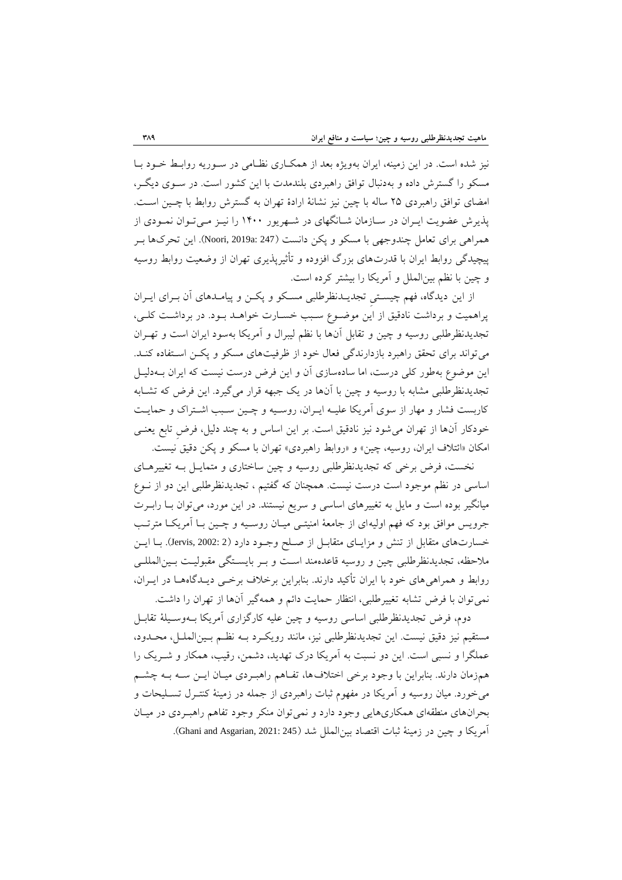نیز شده است. در اين زمیفه، ايران بهويژه بود از هبكلارو نظلامی در سلوريه روابلط خلود بلا مسكو را گسترش داده و بهدنبال توافق راهبردو بلفدمدت با اين کشور است. در سلوو ديگلر، امضاو توافق راهبردو 25 ساله با چین نیز نشانۀ ارادة تهران به گسترش روابط با چلین اسلت. پذيرش عضويت ايـران در سـازمان شـانگهای در شـهريور ۱۴۰۰ را نيـز مـیتـوان نمـودی از همراهی برای تعامل چندوجهی با مسكو و پكن دانست (247 :Noori, 2019a). اين تحرکها بـر پیچیدگی روابط ایران با قدرتهای بزرگ افزوده و تأثیرپذیری تهران از وضعیت روابط روسیه و چین با نظم بینالبل و آمريكا را بیشتر کرده است.

از اين ديدگاه، فهم چيستی تجديــدنظرطلبی مسـكو و پكــن و پيامــدهای آن بــرای ايــران دراهبیت و برداشت نادقیق از اين موضلوع سلبب خسلارت خواهلد بلود. در برداشلت کللی، تجديدنظرطلبی روسیه و چین و تقابل آنها با نظم لیبرال و آمریکا بهسود ایران است و تهـران میتواند براو تحوق راهبرد بازدارندگی فوال خود از ظرفیتهاو مسكو و دكلن اسلتواده کفلد. اين موضوع بهطور کلی درست، اما سادهسازو آن و اين فرض درست نیست که ايران بله دلیل تجديدنظرطلبی مشابه با روسیه و چین با آنها در يک جبهه قرار میگیرد. اين فرض که تشلابه کاربست فشار و مهار از سوى آمريكا عليـه ايـران، روسـيه و چـين سـبب اشـتراک و حمايـت خودکار آنها از تهران می شود نیز نادقیق است. بر این اساس و به چند دلیل، فرض تابع یعنـی امكان «ائتلاف ايران، روسيه، چين» و «روابط راهبردي» تهران با مسكو و پكن دقیق نیست.

نخست، فرض برخی که تجدیدنظرطلبی روسیه و چین ساختاری و متمایـل بـه تغییرهـای اساسی در نظم موجود است درست نیست. همچنان که گفتیم ، تجدیدنظرطلبی این دو از نـوع میانگیر بوده است و مایل به تغییرهای اساسی و سریع نیستند. در این مورد، میتوان بــا رابــرت جرويس موافق بود که فهم اولیهای از جامعۀ امنیتــی میــان روســیه و چــین بــا آمريكــا مترتــب خسارتهای متقابل از تنش و مزايـای متقابـل از صـلح وجـود دارد (Jervis, 2002: 2). بـا ايـن ملاحظه، تجدیدنظرطلبی چین و روسیه قاعدهمند است و بـر بایسـتگی مقبولیـت بـین|لمللـی روابط و همراهی های خود با ايران تأکید دارند. بنابراين برخلاف برخمی ديـدگاههـا در ايـران، نبیتوان با فرض تشابه تغییرطلبی، انتظار حبايت دائم و هبهگیر آنها از تهران را داشت.

دوم، فرض تجدیدنظرطلبی اساسی روسیه و چین علیه کارگزاری آمریکا بـهوسـیلۀ تقابـل مستویم نیز دقیق نیست. اين تجديدنظرطلبی نیز، مانفد رويكلرد بله نظلم بلین البلل ، محلدود، عبلگرا و نسبی است. اين دو نسبت به آمريكا درک تهديد، دشبن، رقیب، هبكار و شلريک را همزمان دارند. بنابراين با وجود برخی اختلافها، تفـاهم راهبـردی میـان ايـن سـه بـه چشـم میخورد. میان روسیه و آمريكا در موهوم ثبات راهبردو از جبله در زمیفۀ کفتلرل تسللیحات و بحرانهای منطقهای همكاریهایی وجود دارد و نمیتوان منكر وجود تفاهم راهبـردی در میـان آمريكا و چين در زمينۀ ثبات اقتصاد بين|لملل شد (245 :2021 Ghani and Asgarian, 2021).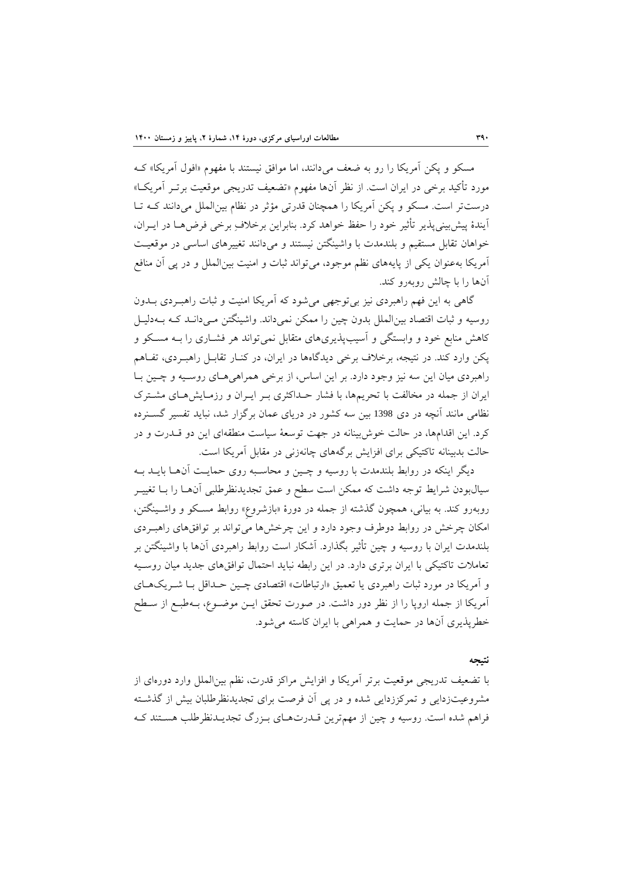مسكو و يكن آمريكا را رو به ضعف می دانند، اما موافق نیستند با مفهوم «افول آمريكا» كــه مورد تأکید برخی در ايران است. از نظر آنها مفهوم «تضعیف تدریجی موقعیت برتـر آمریکـا» درستتر است. مسكو و پكن آمريكا را همچنان قدرتی مؤثر در نظام بین الملل میدانند کـه تـا آيندهٔ پیش بینی پذیر تأثیر خود را حفظ خواهد کرد. بنابراین برخالافِ برخی فرضها در ايـران، خواهان تقابل مستقیم و بلندمدت با واشینگتن نیستند و میدانند تغییرهای اساسی در موقعیت آمريكا بهعنوان يكي از پايههای نظم موجود، میتواند ثبات و امنیت بینالملل و در پی آن منافع آنها را با چالش روبهرو کفد.

گاهی به اين فهم راهبردی نيز بیتوجهی میشود که آمريکا امنيت و ثبات راهبـردی بــدون روسیه و ثبات اقتصاد بین الملل بدون چین را ممکن نمیداند. واشینگتن مـیدانـد کـه بـهدلیـل کاهش منابع خود و وابستگی و آسیبپذیریهای متقابل نمیتواند هر فشـاری را بـه مسـکو و پکن وارد کند. در نتیجه، برخلاف برخی دیدگاهها در ایران، در کنـار تقابـل راهبـردی، تفـاهم راهبردی میان این سه نیز وجود دارد. بر این اساس، از برخی همراهی هـای روسـیه و چـین بـا ايران از جمله در مخالفت با تحريمها، با فشار حـداکثري بـر ايـران و رزمـايش هـاي مشـترک نظامی مانند آنچه در دی 1398 بین سه کشور در دریای عمان برگزار شد، نباید تفسیر گســنرده کرد. اين اقدامها، در حالت خوشبیفانه در جهت توسوۀ سیاست مففوهاو اين دو قلدرت و در حالت بدبینانه تاکتیکی برای افزايش برگههای چانهزنی در مقابل آمريكا است.

ديگر اينكه در روابط بلندمدت با روسیه و چـين و محاسـبه روی حمايـت آنهــا بايــد بــه سیالبودن شرایط توجه داشت که ممکن است سطح و عمق تجدیدنظرطلبی آنهـا را بــا تغییــر روبهرو کند. به بیانی، همچون گذشته از جمله در دورهٔ «بازشروع» روابط مسکو و واشـینگتن، امكان چرخش در روابط دوطرف وجود دارد و اين چرخشها میتواند بر توافقهاو راهبلردو بلفدمدت ايران با روسیه و چین تأثیر بگذارد. آشكار است روابط راهبردو آنها با واشیفگتن بر تعاملات تاکتیکی با ايران برتری دارد. در اين رابطه نبايد احتمال توافق های جديد ميان روسـيه و آمريكا در مورد ثبات راهبردي يا تعميق «ارتباطات» اقتصادي چـين حـداقل بـا شـريک هـاي آمريكا از جمله اروپا را از نظر دور داشت. در صورت تحقق ايــن موضــوع، بــهطبـع از ســطح خطرپذيري آنها در حمايت و همراهی با ايران کاسته می شود.

#### **نتيجه**

با تضویف تدريجی موقویت برتر آمريكا و افزايش مراکز قدرت، نظم بینالبل وارد دورهاو از مشروعیتزدايی و تبرکززدايی شده و در دی آن فرصت براو تجديدنظرطلبان بیش از گذشلته فراهم شده است. روسیه و چین از مهمترین قــدرتهـای بـزرگ تجدیــدنظرطلب هسـتند کـه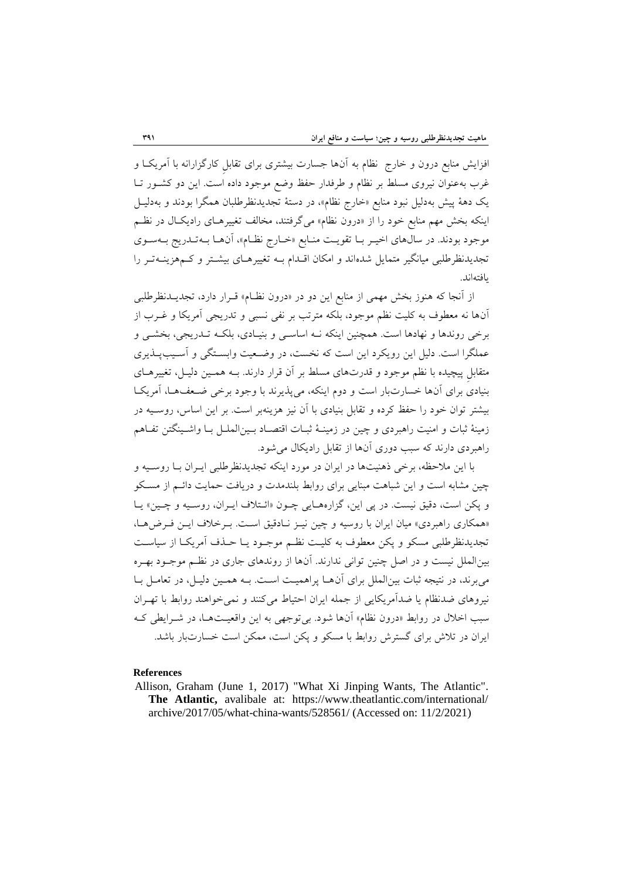افزايش منابع درون و خارج نظام به آنها جسارت بیشتری برای تقابل کارگزارانه با آمريکـا و غرب بهعنوان نیروی مسلط بر نظام و طرفدار حفظ وضع موجود داده است. این دو کشـور تــا يک دهۀ دیش بهدلی نبود مفاب »خارج نظام«، در دستۀ تجديدنظرطلبان هبگرا بودند و بهدلیل اینکه بخش مهم منابع خود را از «درون نظام» میگرفتند، مخالف تغییرهـای رادیکـال در نظـم موجود بودند. در سالهاي اخيـر بــا تقويــت منــابع «خــارج نظــام»، آنهــا بــهتــدريج بــهســوي تجديدنظرطلبی میانگیر متمايل شدهاند و امكان اقـدام بـه تغییرهـای بیشـتر و کـمهزينــهتـر را يافتهاند.

از آنجا که هنوز بخش مهمی از منابع اين دو در «درون نظـام» قـرار دارد، تجديــدنظرطلبي آنها نه معطوف به کلیت نظم موجود، بلكه مترتب بر نفی نسبی و تدریجی آمریكا و غــرب از برخی روندها و نهادها است. همچنین اینكه نـه اساسـی و بنیـادی، بلكـه تــدریجی، بخشــی و عملگرا است. دلیل اين رويكرد اين است كه نخست، در وضـعيت وابسـتگي و آسـيبپــذيري متقابل پیچیده با نظم موجود و قدرتهای مسلط بر آن قرار دارند. بـه همـین دلیـل، تغییرهـای بنيادي براي آنها خسارتبار است و دوم اينكه، می پذيرند با وجود برخی ضعفها، آمريكا بیشتر توان خود را حفظ کرده و تقابل بنیادی با آن نیز هزینهبر است. بر این اساس، روسـیه در زمینۀ ثبات و امنیت راهبردی و چین در زمینـۀ ثبـات اقتصـاد بـین|لملـل بـا واشـینگتن تفـاهم راهبردی دارند که سبب دوری آنها از تقابل رادیکال می شود.

با اين مالحظه، برخی ذهفیتها در ايران در مورد ايفكه تجديدنظرطلبی ايلران بلا روسلیه و چین مشابه است و اين شباهت مبنايی برای روابط بلندمدت و دريافت حمايت دائـم از مسـكو و پكن است، دقیق نیست. در پی این، گزارههـایی چـون «ائـتلاف ايـران، روسـيه و چـين» يـا «همكاري راهبردي» ميان ايران با روسيه و چين نيـز نـادقيق اسـت. بـرخلاف ايـن فـرض هـا، تجديدنظرطلبی مسكو و پكن معطوف به كليت نظـم موجـود يـا حـذف آمريكـا از سياسـت بینالملل نیست و در اصل چنین توانی ندارند. آنها از روندهای جاری در نظـم موجـود بهـره میبرند، در نتیجه ثبات بین الملل برای آنها پراهمیت است. بـه همـین دلیـل، در تعامـل بـا نیروهای ضدنظام يا ضدآمريكايی از جمله ايران احتياط میکنند و نمی خواهند روابط با تهـران سبب اخالل در روابط »درون نظام« آنها شود. بیتوجهی به اين واقویلت هلا، در شلرايفی کله ايران در تالش براو گسترش روابط با مسكو و دكن است، مبكن است خسارتبار باشد.

#### **References**

Allison, Graham (June 1, 2017) "What Xi Jinping Wants, The Atlantic". **The Atlantic,** avalibale at: https://www.theatlantic.com/international/ archive/2017/05/what-china-wants/528561/ (Accessed on: 11/2/2021)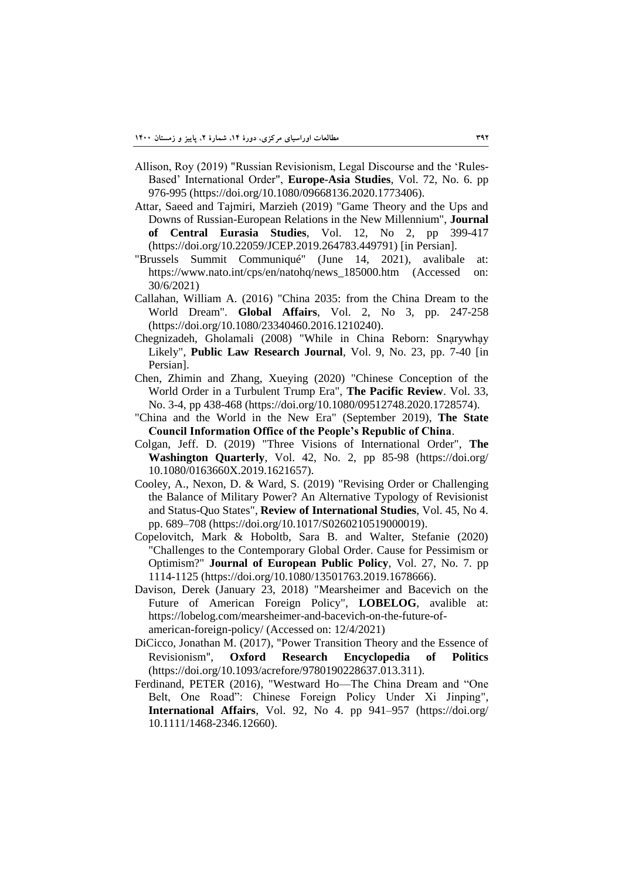- Allison, Roy (2019) "Russian Revisionism, Legal Discourse and the 'Rules-Based' International Order", **Europe-Asia Studies**, Vol. 72, No. 6. pp 976-995 (https://doi.org/10.1080/09668136.2020.1773406).
- Attar, Saeed and Tajmiri, Marzieh (2019) "Game Theory and the Ups and Downs of Russian-European Relations in the New Millennium", **Journal of Central Eurasia Studies**, Vol. 12, No 2, pp 399-417 (https://doi.org/10.22059/JCEP.2019.264783.449791) [in Persian].
- "Brussels Summit Communiqué" (June 14, 2021), avalibale at: https://www.nato.int/cps/en/natohq/news\_185000.htm (Accessed on: 30/6/2021)
- Callahan, William A. (2016) "China 2035: from the China Dream to the World Dream". **Global Affairs**, Vol. 2, No 3, pp. 247-258 (https://doi.org/10.1080/23340460.2016.1210240).
- Chegnizadeh, Gholamali (2008) "While in China Reborn: Snạrywhạy Likely", **Public Law Research Journal**, Vol. 9, No. 23, pp. 7-40 [in Persian].
- Chen, Zhimin and Zhang, Xueying (2020) "Chinese Conception of the World Order in a Turbulent Trump Era", **The Pacific Review**. Vol. 33, No. 3-4, pp 438-468 (https://doi.org/10.1080/09512748.2020.1728574).
- "China and the World in the New Era" (September 2019), **The State Council Information Office of the People's Republic of China**.
- Colgan, Jeff. D. (2019) "Three Visions of International Order", **The Washington Quarterly**, Vol. 42, No. 2, pp 85-98 (https://doi.org/ 10.1080/0163660X.2019.1621657).
- Cooley, A., Nexon, D. & Ward, S. (2019) "Revising Order or Challenging the Balance of Military Power? An Alternative Typology of Revisionist and Status-Quo States", **Review of International Studies**, Vol. 45, No 4. pp. 689–708 (https://doi.org/10.1017/S0260210519000019).
- Copelovitch, Mark & Hoboltb, Sara B. and Walter, Stefanie (2020) "Challenges to the Contemporary Global Order. Cause for Pessimism or Optimism?" **Journal of European Public Policy**, Vol. 27, No. 7. pp 1114-1125 (https://doi.org/10.1080/13501763.2019.1678666).
- Davison, Derek (January 23, 2018) "Mearsheimer and Bacevich on the Future of American Foreign Policy", **LOBELOG**, avalible at: https://lobelog.com/mearsheimer-and-bacevich-on-the-future-ofamerican-foreign-policy/ (Accessed on: 12/4/2021)
- DiCicco, Jonathan M. (2017), "Power Transition Theory and the Essence of Revisionism", **Oxford Research Encyclopedia of Politics**  (https://doi.org/10.1093/acrefore/9780190228637.013.311).
- Ferdinand, PETER (2016), "Westward Ho—The China Dream and "One Belt, One Road": Chinese Foreign Policy Under Xi Jinping", **International Affairs**, Vol. 92, No 4. pp 941–957 (https://doi.org/ 10.1111/1468-2346.12660).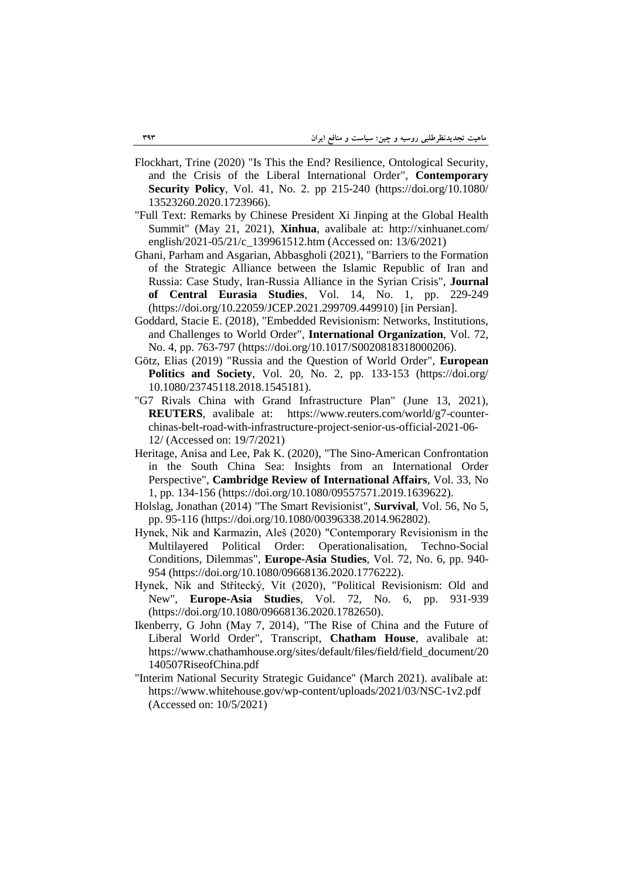- Flockhart, Trine (2020) "Is This the End? Resilience, Ontological Security, and the Crisis of the Liberal International Order", **Contemporary Security Policy**, Vol. 41, No. 2. pp 215-240 (https://doi.org/10.1080/ 13523260.2020.1723966).
- "Full Text: Remarks by Chinese President Xi Jinping at the Global Health Summit" (May 21, 2021), **Xinhua**, avalibale at: http://xinhuanet.com/ english/2021-05/21/c\_139961512.htm (Accessed on: 13/6/2021)
- Ghani, Parham and Asgarian, Abbasgholi (2021), "Barriers to the Formation of the Strategic Alliance between the Islamic Republic of Iran and Russia: Case Study, Iran-Russia Alliance in the Syrian Crisis", **Journal of Central Eurasia Studies**, Vol. 14, No. 1, pp. 229-249 (https://doi.org/10.22059/JCEP.2021.299709.449910) [in Persian].
- Goddard, Stacie E. (2018), "Embedded Revisionism: Networks, Institutions, and Challenges to World Order", **International Organization**, Vol. 72, No. 4, pp. 763-797 (https://doi.org/10.1017/S0020818318000206).
- Götz, Elias (2019) "Russia and the Question of World Order", **European Politics and Society**, Vol. 20, No. 2, pp. 133-153 (https://doi.org/ 10.1080/23745118.2018.1545181).
- "G7 Rivals China with Grand Infrastructure Plan" (June 13, 2021), **REUTERS**, avalibale at: https://www.reuters.com/world/g7-counterchinas-belt-road-with-infrastructure-project-senior-us-official-2021-06- 12/ (Accessed on: 19/7/2021)
- Heritage, Anisa and Lee, Pak K. (2020), "The Sino-American Confrontation in the South China Sea: Insights from an International Order Perspective", **Cambridge Review of International Affairs**, Vol. 33, No 1, pp. 134-156 (https://doi.org/10.1080/09557571.2019.1639622).
- Holslag, Jonathan (2014) "The Smart Revisionist", **Survival**, Vol. 56, No 5, pp. 95-116 (https://doi.org/10.1080/00396338.2014.962802).
- Hynek, Nik and Karmazin, Aleš (2020) "Contemporary Revisionism in the Multilayered Political Order: Operationalisation, Techno-Social Conditions, Dilemmas", **Europe-Asia Studies**, Vol. 72, No. 6, pp. 940- 954 (https://doi.org/10.1080/09668136.2020.1776222).
- Hynek, Nik and Střítecký, Vít (2020), "Political Revisionism: Old and New", **Europe-Asia Studies**, Vol. 72, No. 6, pp. 931-939 (https://doi.org/10.1080/09668136.2020.1782650).
- Ikenberry, G John (May 7, 2014), "The Rise of China and the Future of Liberal World Order", Transcript, **Chatham House**, avalibale at: https://www.chathamhouse.org/sites/default/files/field/field\_document/20 140507RiseofChina.pdf
- "Interim National Security Strategic Guidance" (March 2021). avalibale at: https://www.whitehouse.gov/wp-content/uploads/2021/03/NSC-1v2.pdf (Accessed on: 10/5/2021)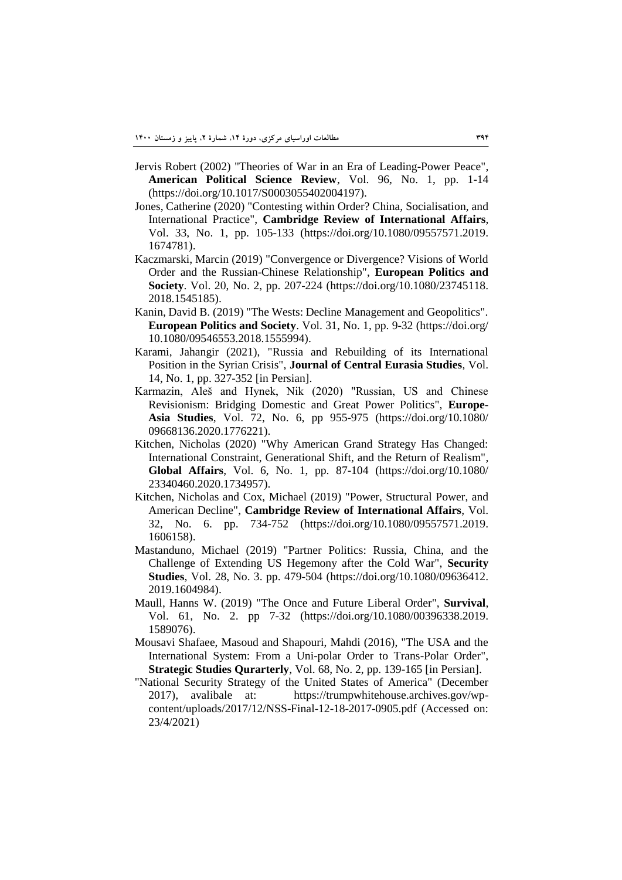- Jervis Robert (2002) "Theories of War in an Era of Leading-Power Peace", **American Political Science Review**, Vol. 96, No. 1, pp. 1-14 (https://doi.org/10.1017/S0003055402004197).
- Jones, Catherine (2020) "Contesting within Order? China, Socialisation, and International Practice", **Cambridge Review of International Affairs**, Vol. 33, No. 1, pp. 105-133 (https://doi.org/10.1080/09557571.2019. 1674781).
- Kaczmarski, Marcin (2019) "Convergence or Divergence? Visions of World Order and the Russian-Chinese Relationship", **European Politics and Society**. Vol. 20, No. 2, pp. 207-224 (https://doi.org/10.1080/23745118. 2018.1545185).
- Kanin, David B. (2019) "The Wests: Decline Management and Geopolitics". **European Politics and Society**. Vol. 31, No. 1, pp. 9-32 (https://doi.org/ 10.1080/09546553.2018.1555994).
- Karami, Jahangir (2021), "Russia and Rebuilding of its International Position in the Syrian Crisis", **Journal of Central Eurasia Studies**, Vol. 14, No. 1, pp. 327-352 [in Persian].
- Karmazin, Aleš and Hynek, Nik (2020) "Russian, US and Chinese Revisionism: Bridging Domestic and Great Power Politics", **Europe-Asia Studies**, Vol. 72, No. 6, pp 955-975 (https://doi.org/10.1080/ 09668136.2020.1776221).
- Kitchen, Nicholas (2020) "Why American Grand Strategy Has Changed: International Constraint, Generational Shift, and the Return of Realism", **Global Affairs**, Vol. 6, No. 1, pp. 87-104 (https://doi.org/10.1080/ 23340460.2020.1734957).
- Kitchen, Nicholas and Cox, Michael (2019) "Power, Structural Power, and American Decline", **Cambridge Review of International Affairs**, Vol. 32, No. 6. pp. 734-752 (https://doi.org/10.1080/09557571.2019. 1606158).
- Mastanduno, Michael (2019) "Partner Politics: Russia, China, and the Challenge of Extending US Hegemony after the Cold War", **Security Studies**, Vol. 28, No. 3. pp. 479-504 (https://doi.org/10.1080/09636412. 2019.1604984).
- Maull, Hanns W. (2019) "The Once and Future Liberal Order", **Survival**, Vol. 61, No. 2. pp 7-32 (https://doi.org/10.1080/00396338.2019. 1589076).
- Mousavi Shafaee, Masoud and Shapouri, Mahdi (2016), "The USA and the International System: From a Uni-polar Order to Trans-Polar Order", **Strategic Studies Qurarterly**, Vol. 68, No. 2, pp. 139-165 [in Persian].
- "National Security Strategy of the United States of America" (December 2017), avalibale at: https://trumpwhitehouse.archives.gov/wpcontent/uploads/2017/12/NSS-Final-12-18-2017-0905.pdf (Accessed on: 23/4/2021)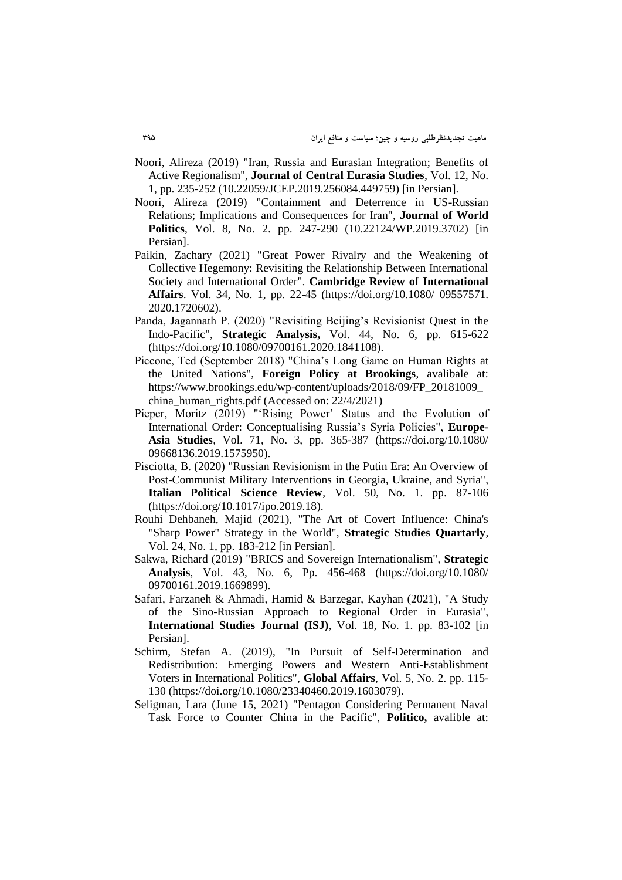- Noori, Alireza (2019) "Iran, Russia and Eurasian Integration; Benefits of Active Regionalism", **Journal of Central Eurasia Studies**, Vol. 12, No. 1, pp. 235-252 (10.22059/JCEP.2019.256084.449759) [in Persian].
- Noori, Alireza (2019) "Containment and Deterrence in US-Russian Relations; Implications and Consequences for Iran", **Journal of World Politics**, Vol. 8, No. 2. pp. 247-290 (10.22124/WP.2019.3702) [in Persian].
- Paikin, Zachary (2021) "Great Power Rivalry and the Weakening of Collective Hegemony: Revisiting the Relationship Between International Society and International Order". **Cambridge Review of International Affairs**. Vol. 34, No. 1, pp. 22-45 (https://doi.org/10.1080/ 09557571. 2020.1720602).
- Panda, Jagannath P. (2020) "Revisiting Beijing's Revisionist Quest in the Indo-Pacific", **Strategic Analysis,** Vol. 44, No. 6, pp. 615-622 (https://doi.org/10.1080/09700161.2020.1841108).
- Piccone, Ted (September 2018) "China's Long Game on Human Rights at the United Nations", **Foreign Policy at Brookings**, avalibale at: https://www.brookings.edu/wp-content/uploads/2018/09/FP\_20181009\_ china\_human\_rights.pdf (Accessed on: 22/4/2021)
- Pieper, Moritz (2019) "'Rising Power' Status and the Evolution of International Order: Conceptualising Russia's Syria Policies", **Europe-Asia Studies**, Vol. 71, No. 3, pp. 365-387 (https://doi.org/10.1080/ 09668136.2019.1575950).
- Pisciotta, B. (2020) "Russian Revisionism in the Putin Era: An Overview of Post-Communist Military Interventions in Georgia, Ukraine, and Syria", **Italian Political Science Review**, Vol. 50, No. 1. pp. 87-106 (https://doi.org/10.1017/ipo.2019.18).
- Rouhi Dehbaneh, Majid (2021), "The Art of Covert Influence: China's "Sharp Power" Strategy in the World", **Strategic Studies Quartarly**, Vol. 24, No. 1, pp. 183-212 [in Persian].
- Sakwa, Richard (2019) "BRICS and Sovereign Internationalism", **Strategic Analysis**, Vol. 43, No. 6, Pp. 456-468 (https://doi.org/10.1080/ 09700161.2019.1669899).
- Safari, Farzaneh & Ahmadi, Hamid & Barzegar, Kayhan (2021), "A Study of the Sino-Russian Approach to Regional Order in Eurasia", **International Studies Journal (ISJ)**, Vol. 18, No. 1. pp. 83-102 [in Persian].
- Schirm, Stefan A. (2019), "In Pursuit of Self-Determination and Redistribution: Emerging Powers and Western Anti-Establishment Voters in International Politics", **Global Affairs**, Vol. 5, No. 2. pp. 115- 130 (https://doi.org/10.1080/23340460.2019.1603079).
- Seligman, Lara (June 15, 2021) "Pentagon Considering Permanent Naval Task Force to Counter China in the Pacific", **Politico,** avalible at: